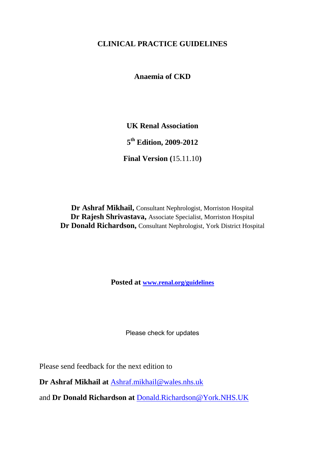# **CLINICAL PRACTICE GUIDELINES**

**Anaemia of CKD**

**UK Renal Association**

**5 th Edition, 2009-2012**

**Final Version (**15.11.10**)**

**Dr Ashraf Mikhail,** Consultant Nephrologist, Morriston Hospital **Dr Rajesh Shrivastava,** Associate Specialist, Morriston Hospital **Dr Donald Richardson,** Consultant Nephrologist, York District Hospital

**Posted at [www.renal.org/guidelines](http://www.renal.org/guidelines)**

Please check for updates

Please send feedback for the next edition to

**Dr Ashraf Mikhail at** [Ashraf.mikhail@wales.nhs.uk](mailto:Ashraf.mikhail@wales.nhs.uk)

and **Dr Donald Richardson at** Donald.Richardson@York.NHS.UK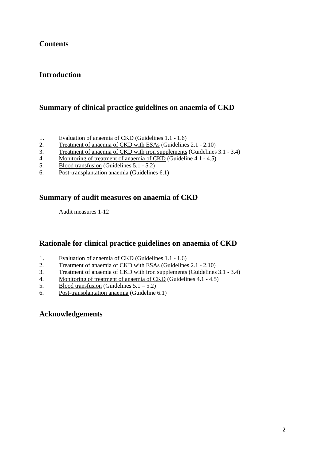# **Contents**

## **Introduction**

## **Summary of clinical practice guidelines on anaemia of CKD**

- 1. Evaluation of anaemia of CKD (Guidelines 1.1 1.6)
- 2. Treatment of anaemia of CKD with ESAs (Guidelines 2.1 2.10)
- 3. Treatment of anaemia of CKD with iron supplements (Guidelines 3.1 3.4)
- 4. Monitoring of treatment of anaemia of CKD (Guideline 4.1 4.5)
- 5. Blood transfusion (Guidelines 5.1 5.2)
- 6. Post-transplantation anaemia (Guidelines 6.1)

## **Summary of audit measures on anaemia of CKD**

Audit measures 1-12

## **Rationale for clinical practice guidelines on anaemia of CKD**

- 1. Evaluation of anaemia of CKD (Guidelines 1.1 1.6)
- 2. Treatment of anaemia of CKD with ESAs (Guidelines 2.1 2.10)
- 3. Treatment of anaemia of CKD with iron supplements (Guidelines 3.1 3.4)
- 4. Monitoring of treatment of anaemia of CKD (Guidelines 4.1 4.5)
- 5. Blood transfusion (Guidelines  $5.1 5.2$ )
- 6. Post-transplantation anaemia (Guideline 6.1)

## **Acknowledgements**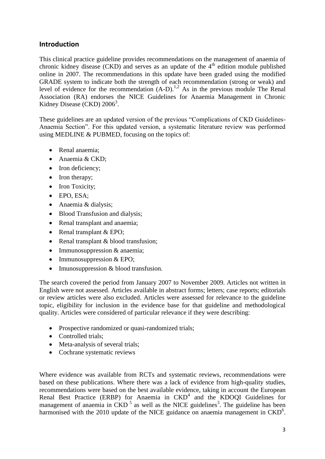## **Introduction**

This clinical practice guideline provides recommendations on the management of anaemia of chronic kidney disease (CKD) and serves as an update of the  $4<sup>th</sup>$  edition module published online in 2007. The recommendations in this update have been graded using the modified GRADE system to indicate both the strength of each recommendation (strong or weak) and level of evidence for the recommendation  $(A-D)$ .<sup>1,2</sup> As in the previous module The Renal Association (RA) endorses the NICE Guidelines for Anaemia Management in Chronic Kidney Disease (CKD) 2006<sup>3</sup>.

These guidelines are an updated version of the previous "Complications of CKD Guidelines-Anaemia Section". For this updated version, a systematic literature review was performed using MEDLINE & PUBMED, focusing on the topics of:

- Renal anaemia:
- Anaemia & CKD:
- Iron deficiency;
- Iron therapy;
- Iron Toxicity;
- EPO, ESA;
- Anaemia & dialysis;
- Blood Transfusion and dialysis:
- Renal transplant and anaemia;
- Renal transplant  $& EPO;$
- Renal transplant & blood transfusion;
- Immunosuppression & anaemia;
- $\bullet$  Immunosuppression & EPO;
- Imunosuppression & blood transfusion.

The search covered the period from January 2007 to November 2009. Articles not written in English were not assessed. Articles available in abstract forms; letters; case reports; editorials or review articles were also excluded. Articles were assessed for relevance to the guideline topic, eligibility for inclusion in the evidence base for that guideline and methodological quality. Articles were considered of particular relevance if they were describing:

- Prospective randomized or quasi-randomized trials;
- Controlled trials;
- Meta-analysis of several trials;
- Cochrane systematic reviews

Where evidence was available from RCTs and systematic reviews, recommendations were based on these publications. Where there was a lack of evidence from high-quality studies, recommendations were based on the best available evidence, taking in account the European Renal Best Practice (ERBP) for Anaemia in CKD<sup>4</sup> and the KDOQI Guidelines for management of anaemia in  $\text{CKD}^5$  as well as the NICE guidelines<sup>3</sup>. The guideline has been harmonised with the 2010 update of the NICE guidance on anaemia management in  $\text{CKD}^6$ .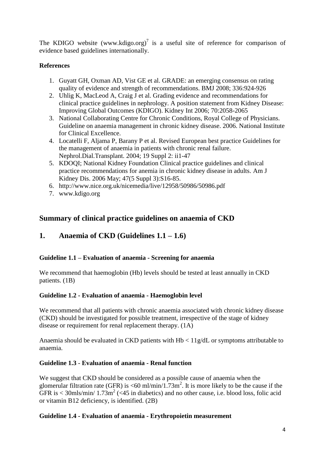The KDIGO website (www.kdigo.org)<sup>7</sup> is a useful site of reference for comparison of evidence based guidelines internationally.

## **References**

- 1. Guyatt GH, Oxman AD, Vist GE et al. GRADE: an emerging consensus on rating quality of evidence and strength of recommendations. BMJ 2008; 336:924-926
- 2. Uhlig K, MacLeod A, Craig J et al. Grading evidence and recommendations for clinical practice guidelines in nephrology. A position statement from Kidney Disease: Improving Global Outcomes (KDIGO). Kidney Int 2006; 70:2058-2065
- 3. National Collaborating Centre for Chronic Conditions, Royal College of Physicians. Guideline on anaemia management in chronic kidney disease. 2006. National Institute for Clinical Excellence.
- 4. Locatelli F, Aljama P, Barany P et al. Revised European best practice Guidelines for the management of anaemia in patients with chronic renal failure. Nephrol.Dial.Transplant. 2004; 19 Suppl 2: ii1-47
- 5. [KDOQI; National Kidney Foundation Clinical practice guidelines and clinical](http://www.ncbi.nlm.nih.gov/pubmed/16678661?itool=EntrezSystem2.PEntrez.Pubmed.Pubmed_ResultsPanel.Pubmed_RVDocSum&ordinalpos=5)  [practice recommendations for anemia in chronic kidney disease in adults.](http://www.ncbi.nlm.nih.gov/pubmed/16678661?itool=EntrezSystem2.PEntrez.Pubmed.Pubmed_ResultsPanel.Pubmed_RVDocSum&ordinalpos=5) Am J Kidney Dis. 2006 May; 47(5 Suppl 3):S16-85.
- 6. http://www.nice.org.uk/nicemedia/live/12958/50986/50986.pdf
- 7. [www.kdigo.org](http://www.kdigo.org/)

# **Summary of clinical practice guidelines on anaemia of CKD**

# **1. Anaemia of CKD (Guidelines 1.1 – 1.6)**

## **Guideline 1.1 – Evaluation of anaemia - Screening for anaemia**

We recommend that haemoglobin (Hb) levels should be tested at least annually in CKD patients. (1B)

## **Guideline 1.2 - Evaluation of anaemia - Haemoglobin level**

We recommend that all patients with chronic anaemia associated with chronic kidney disease (CKD) should be investigated for possible treatment, irrespective of the stage of kidney disease or requirement for renal replacement therapy. (1A)

Anaemia should be evaluated in CKD patients with Hb < 11g/dL or symptoms attributable to anaemia.

## **Guideline 1.3** - **Evaluation of anaemia - Renal function**

We suggest that CKD should be considered as a possible cause of anaemia when the glomerular filtration rate (GFR) is <60 ml/min/1.73m<sup>2</sup>. It is more likely to be the cause if the GFR is  $\lt$  30mls/min/ 1.73m<sup>2</sup> ( $\lt$ 45 in diabetics) and no other cause, i.e. blood loss, folic acid or vitamin B12 deficiency, is identified. (2B)

## **Guideline 1.4 - Evaluation of anaemia - Erythropoietin measurement**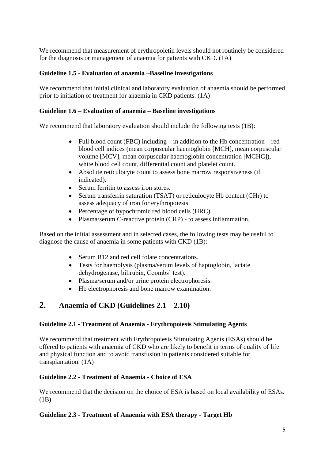We recommend that measurement of erythropoietin levels should not routinely be considered for the diagnosis or management of anaemia for patients with CKD. (1A)

#### **Guideline 1.5 - Evaluation of anaemia –Baseline investigations**

We recommend that initial clinical and laboratory evaluation of anaemia should be performed prior to initiation of treatment for anaemia in CKD patients. (1A)

#### **Guideline 1.6 – Evaluation of anaemia – Baseline investigations**

We recommend that laboratory evaluation should include the following tests (1B):

- Full blood count (FBC) including—in addition to the Hb concentration—red blood cell indices (mean corpuscular haemoglobin [MCH], mean corpuscular volume [MCV], mean corpuscular haemoglobin concentration [MCHC]), white blood cell count, differential count and platelet count.
- Absolute reticulocyte count to assess bone marrow responsiveness (if indicated).
- Serum ferritin to assess iron stores.
- Serum transferrin saturation (TSAT) or reticulocyte Hb content (CHr) to assess adequacy of iron for erythropoiesis.
- Percentage of hypochromic red blood cells (HRC).
- Plasma/serum C-reactive protein (CRP) to assess inflammation.

Based on the initial assessment and in selected cases, the following tests may be useful to diagnose the cause of anaemia in some patients with CKD (1B):

- Serum B12 and red cell folate concentrations.
- Tests for haemolysis (plasma/serum levels of haptoglobin, lactate dehydrogenase, bilirubin, Coombs' test).
- Plasma/serum and/or urine protein electrophoresis.
- Hb electrophoresis and bone marrow examination.

# **2. Anaemia of CKD (Guidelines 2.1 – 2.10)**

#### **Guideline 2.1 - Treatment of Anaemia - Erythropoiesis Stimulating Agents**

We recommend that treatment with Erythropoiesis Stimulating Agents (ESAs) should be offered to patients with anaemia of CKD who are likely to benefit in terms of quality of life and physical function and to avoid transfusion in patients considered suitable for transplantation. (1A)

#### **Guideline 2.2 - Treatment of Anaemia - Choice of ESA**

We recommend that the decision on the choice of ESA is based on local availability of ESAs. (1B)

#### **Guideline 2.3 - Treatment of Anaemia with ESA therapy - Target Hb**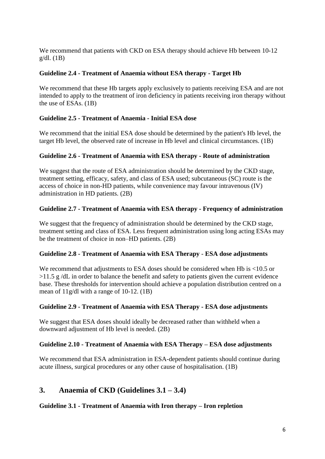We recommend that patients with CKD on ESA therapy should achieve Hb between 10-12  $g/dl$ . (1B)

## **Guideline 2.4 - Treatment of Anaemia without ESA therapy - Target Hb**

We recommend that these Hb targets apply exclusively to patients receiving ESA and are not intended to apply to the treatment of iron deficiency in patients receiving iron therapy without the use of ESAs. (1B)

## **Guideline 2.5 - Treatment of Anaemia - Initial ESA dose**

We recommend that the initial ESA dose should be determined by the patient's Hb level, the target Hb level, the observed rate of increase in Hb level and clinical circumstances. (1B)

## **Guideline 2.6 - Treatment of Anaemia with ESA therapy - Route of administration**

We suggest that the route of ESA administration should be determined by the CKD stage. treatment setting, efficacy, safety, and class of ESA used; subcutaneous (SC) route is the access of choice in non-HD patients, while convenience may favour intravenous (IV) administration in HD patients. (2B)

## **Guideline 2.7 - Treatment of Anaemia with ESA therapy - Frequency of administration**

We suggest that the frequency of administration should be determined by the CKD stage, treatment setting and class of ESA. Less frequent administration using long acting ESAs may be the treatment of choice in non–HD patients. (2B)

## **Guideline 2.8 - Treatment of Anaemia with ESA Therapy** - **ESA dose adjustments**

We recommend that adjustments to ESA doses should be considered when Hb is <10.5 or  $>11.5$  g/dL in order to balance the benefit and safety to patients given the current evidence base. These thresholds for intervention should achieve a population distribution centred on a mean of 11g/dl with a range of 10-12. (1B)

## **Guideline 2.9 - Treatment of Anaemia with ESA Therapy - ESA dose adjustments**

We suggest that ESA doses should ideally be decreased rather than withheld when a downward adjustment of Hb level is needed. (2B)

## **Guideline 2.10 - Treatment of Anaemia with ESA Therapy – ESA dose adjustments**

We recommend that ESA administration in ESA-dependent patients should continue during acute illness, surgical procedures or any other cause of hospitalisation. (1B)

# **3. Anaemia of CKD (Guidelines 3.1 – 3.4)**

## **Guideline 3.1 - Treatment of Anaemia with Iron therapy – Iron repletion**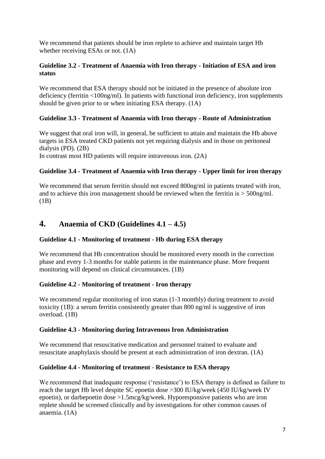We recommend that patients should be iron replete to achieve and maintain target Hb whether receiving ESAs or not. (1A)

## **Guideline 3.2 - Treatment of Anaemia with Iron therapy - Initiation of ESA and iron status**

We recommend that ESA therapy should not be initiated in the presence of absolute iron deficiency (ferritin <100ng/ml). In patients with functional iron deficiency, iron supplements should be given prior to or when initiating ESA therapy. (1A)

## **Guideline 3.3 - Treatment of Anaemia with Iron therapy - Route of Administration**

We suggest that oral iron will, in general, be sufficient to attain and maintain the Hb above targets in ESA treated CKD patients not yet requiring dialysis and in those on peritoneal dialysis (PD). (2B)

In contrast most HD patients will require intravenous iron. (2A)

## **Guideline 3.4 - Treatment of Anaemia with Iron therapy - Upper limit for iron therapy**

We recommend that serum ferritin should not exceed 800ng/ml in patients treated with iron, and to achieve this iron management should be reviewed when the ferritin is > 500ng/ml. (1B)

# **4. Anaemia of CKD (Guidelines 4.1 – 4.5)**

## **Guideline 4.1 - Monitoring of treatment - Hb during ESA therapy**

We recommend that Hb concentration should be monitored every month in the correction phase and every 1-3 months for stable patients in the maintenance phase. More frequent monitoring will depend on clinical circumstances. (1B)

## **Guideline 4.2 - Monitoring of treatment - Iron therapy**

We recommend regular monitoring of iron status (1-3 monthly) during treatment to avoid toxicity (1B): a serum ferritin consistently greater than 800 ng/ml is suggestive of iron overload. (1B)

#### **Guideline 4.3 - Monitoring during Intravenous Iron Administration**

We recommend that resuscitative medication and personnel trained to evaluate and resuscitate anaphylaxis should be present at each administration of iron dextran. (1A)

#### **Guideline 4.4 - Monitoring of treatment** - **Resistance to ESA therapy**

We recommend that inadequate response ('resistance') to ESA therapy is defined as failure to reach the target Hb level despite SC epoetin dose >300 IU/kg/week (450 IU/kg/week IV epoetin), or darbepoetin dose >1.5mcg/kg/week. Hyporesponsive patients who are iron replete should be screened clinically and by investigations for other common causes of anaemia. (1A)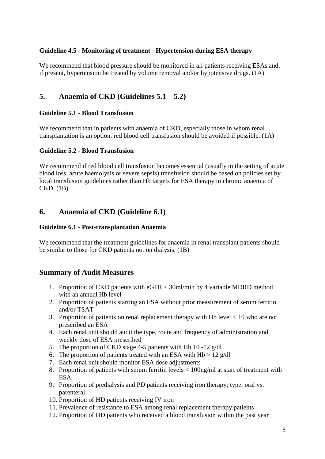## **Guideline 4.5 - Monitoring of treatment** - **Hypertension during ESA therapy**

We recommend that blood pressure should be monitored in all patients receiving ESAs and, if present, hypertension be treated by volume removal and/or hypotensive drugs. (1A)

# **5. Anaemia of CKD (Guidelines 5.1 – 5.2)**

### **Guideline 5.1** - **Blood Transfusion**

We recommend that in patients with anaemia of CKD, especially those in whom renal transplantation is an option, red blood cell transfusion should be avoided if possible. (1A)

#### **Guideline 5.2** - **Blood Transfusion**

We recommend if red blood cell transfusion becomes essential (usually in the setting of acute blood loss, acute haemolysis or severe sepsis) transfusion should be based on policies set by local transfusion guidelines rather than Hb targets for ESA therapy in chronic anaemia of CKD. (1B)

## **6. Anaemia of CKD (Guideline 6.1)**

#### **Guideline 6.1** - **Post-transplantation Anaemia**

We recommend that the treatment guidelines for anaemia in renal transplant patients should be similar to those for CKD patients not on dialysis. (1B)

## **Summary of Audit Measures**

- 1. Proportion of CKD patients with eGFR < 30ml/min by 4 variable MDRD method with an annual Hb level
- 2. Proportion of patients starting an ESA without prior measurement of serum ferritin and/or TSAT
- 3. Proportion of patients on renal replacement therapy with Hb level < 10 who are not prescribed an ESA
- 4. Each renal unit should audit the type, route and frequency of administration and weekly dose of ESA prescribed
- 5. The proportion of CKD stage 4-5 patients with Hb 10 -12 g/dl
- 6. The proportion of patients treated with an ESA with  $Hb > 12$  g/dl
- 7. Each renal unit should monitor ESA dose adjustments
- 8. Proportion of patients with serum ferritin levels < 100ng/ml at start of treatment with ESA
- 9. Proportion of predialysis and PD patients receiving iron therapy; type: oral vs. parenteral
- 10. Proportion of HD patients receiving IV iron
- 11. Prevalence of resistance to ESA among renal replacement therapy patients
- 12. Proportion of HD patients who received a blood transfusion within the past year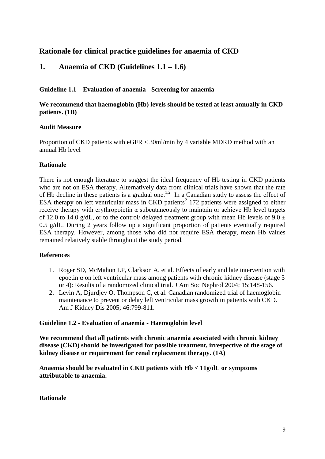# **Rationale for clinical practice guidelines for anaemia of CKD**

## **1. Anaemia of CKD (Guidelines 1.1 – 1.6)**

#### **Guideline 1.1 – Evaluation of anaemia - Screening for anaemia**

## **We recommend that haemoglobin (Hb) levels should be tested at least annually in CKD patients. (1B)**

#### **Audit Measure**

Proportion of CKD patients with eGFR < 30ml/min by 4 variable MDRD method with an annual Hb level

#### **Rationale**

There is not enough literature to suggest the ideal frequency of Hb testing in CKD patients who are not on ESA therapy. Alternatively data from clinical trials have shown that the rate of Hb decline in these patients is a gradual one.<sup>1,2</sup> In a Canadian study to assess the effect of ESA therapy on left ventricular ma[s](http://www.kidney.org/professionals/kdoqi/guidelines_anemia/references.htm#ref39)s in CKD patients<sup>2</sup> 172 patients were assigned to either receive therapy with erythropoietin  $α$  subcutaneously to maintain or achieve Hb level targets of 12.0 to 14.0 g/dL, or to the control/ delayed treatment group with mean Hb levels of  $9.0 \pm$ 0.5 g/dL. During 2 years follow up a significant proportion of patients eventually required ESA therapy. However, among those who did not require ESA therapy, mean Hb values remained relatively stable throughout the study period.

#### **References**

- 1. Roger SD, McMahon LP, Clarkson A, et al. Effects of early and late intervention with epoetin  $\alpha$  on left ventricular mass among patients with chronic kidney disease (stage 3) or 4): Results of a randomized clinical trial. [J Am Soc Nephrol 2004; 15:148-156.](http://www.ncbi.nlm.nih.gov/entrez/query.fcgi?db=pubmed&cmd=Retrieve&dopt=Abstract&list_uids=14694167&query_hl=736&itool=pubmed_docsum)
- 2. Levin A, Djurdjev O, Thompson C, et al. Canadian randomized trial of haemoglobin maintenance to prevent or delay left ventricular mass growth in patients with CKD. [Am J Kidney Dis 2005; 46:799-811.](http://www.ncbi.nlm.nih.gov/entrez/query.fcgi?db=pubmed&cmd=Retrieve&dopt=Abstract&list_uids=16253719&query_hl=59&itool=pubmed_docsum)

#### **Guideline 1.2 - Evaluation of anaemia - Haemoglobin level**

**We recommend that all patients with chronic anaemia associated with chronic kidney disease (CKD) should be investigated for possible treatment, irrespective of the stage of kidney disease or requirement for renal replacement therapy. (1A)**

**Anaemia should be evaluated in CKD patients with Hb < 11g/dL or symptoms attributable to anaemia.**

#### **Rationale**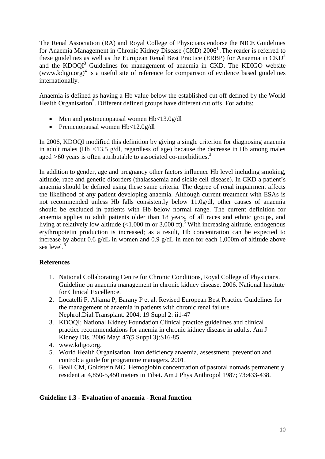The Renal Association (RA) and Royal College of Physicians endorse the NICE Guidelines for Anaemia Management in Chronic Kidney Disease (CKD) 2006<sup>1</sup>. The reader is referred to these guidelines as well as the European Renal Best Practice (ERBP) for Anaemia in  $CKD<sup>2</sup>$ and the KDOQI<sup>3</sup> Guidelines for management of anaemia in CKD. The KDIGO website  $(www.kdigo.org)<sup>4</sup>$  $(www.kdigo.org)<sup>4</sup>$  is a useful site of reference for comparison of evidence based guidelines internationally.

Anaemia is defined as having a Hb value below the established cut off defined by the World Health Organisation<sup>5</sup>. Different defined groups have different cut offs. For adults:

- Men and postmenopausal women Hb<13.0g/dl
- Premenopausal women Hb<12.0g/dl

In 2006, KDOQI modified this definition by giving a single criterion for diagnosing anaemia in adult males (Hb *<*13.5 g/dl, regardless of age) because the decrease in Hb among males aged *>*60 years is often attributable to associated co-morbidities. 3

In addition to gender, age and pregnancy other factors influence Hb level including smoking, altitude, race and genetic disorders (thalassaemia and sickle cell disease). In CKD a patient's anaemia should be defined using these same criteria. The degree of renal impairment affects the likelihood of any patient developing anaemia. Although current treatment with ESAs is not recommended unless Hb falls consistently below 11.0g/dl, other causes of anaemia should be excluded in patients with Hb below normal range. The current definition for anaemia applies to adult patients older than 18 years, of all races and ethnic groups, and living at relatively low altitude (<1,000 m or 3,000 ft).<sup>5</sup> With increasing altitude, endogenous erythropoietin production is increased; as a result, Hb concentration can be expected to increase by about 0.6 g/dL in women and 0.9 g/dL in men for each 1,000m of altitude above sea level.<sup>6</sup>

## **References**

- 1. National Collaborating Centre for Chronic Conditions, Royal College of Physicians. Guideline on anaemia management in chronic kidney disease. 2006. National Institute for Clinical Excellence.
- 2. Locatelli F, Aljama P, Barany P et al. Revised European Best Practice Guidelines for the management of anaemia in patients with chronic renal failure. Nephrol.Dial.Transplant. 2004; 19 Suppl 2: ii1-47
- 3. KDOQI; National Kidney Foundation [Clinical practice guidelines and clinical](http://www.ncbi.nlm.nih.gov/pubmed/16678661?itool=EntrezSystem2.PEntrez.Pubmed.Pubmed_ResultsPanel.Pubmed_RVDocSum&ordinalpos=5)  [practice recommendations for anemia](http://www.ncbi.nlm.nih.gov/pubmed/16678661?itool=EntrezSystem2.PEntrez.Pubmed.Pubmed_ResultsPanel.Pubmed_RVDocSum&ordinalpos=5) in chronic kidney disease in adults. Am J Kidney Dis. 2006 May; 47(5 Suppl 3):S16-85.
- 4. [www.kdigo.org.](http://www.kdigo.org/)
- 5. World Health Organisation. Iron deficiency anaemia, assessment, prevention and control: a guide for programme managers. 2001.
- 6. Beall CM, Goldstein MC. Hemoglobin concentration of pastoral nomads permanently resident at 4,850-5,450 meters in Tibet. [Am J Phys Anthropol 1987; 73:433-438.](http://www.ncbi.nlm.nih.gov/entrez/query.fcgi?db=pubmed&cmd=Retrieve&dopt=Abstract&list_uids=3661681&query_hl=79&itool=pubmed_docsum)

## **Guideline 1.3 - Evaluation of anaemia - Renal function**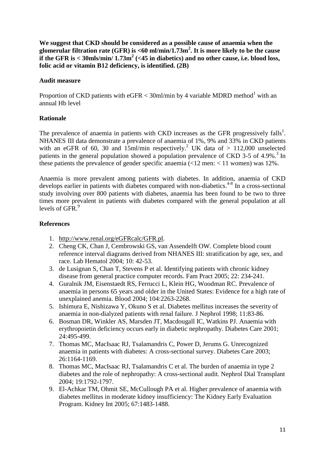**We suggest that CKD should be considered as a possible cause of anaemia when the glomerular filtration rate (GFR) is <60 ml/min/1.73m<sup>2</sup> . It is more likely to be the cause**  if the GFR is  $<$  30mls/min/ 1.73m<sup>2</sup> (<45 in diabetics) and no other cause, i.e. blood loss, **folic acid or vitamin B12 deficiency, is identified. (2B)**

#### **Audit measure**

Proportion of CKD patients with  $eGFR < 30$ ml/min by 4 variable MDRD method<sup>1</sup> with an annual Hb level

## **Rationale**

The prevalence of anaemia in patients with CKD increases as the GFR progressively falls<sup>1</sup>. NHANES III data demonstrate a prevalence of anaemia of 1%, 9% and 33% in CKD patients with an eGFR of 60, 30 and 15ml/min respectively.<sup>2</sup> UK data of  $> 112,000$  unselected patients in the general population showed a population prevalence of CKD 3-5 of 4.9%.<sup>3</sup> In these patients the prevalence of gender specific anaemia  $\left($ <12 men:  $\leq$  11 women) was 12%.

Anaemia is more prevalent among patients with diabetes. In addition, anaemia of CKD develops earlier in patients with diabetes compared with non-diabetics.<sup>4-8</sup> In a cross-sectional study involving over 800 patients with diabetes, anaemia has been found to be two to three times more prevalent in patients with diabetes compared with the general population at all levels of GFR.<sup>9</sup>

## **References**

- 1. [http://www.renal.org/eGFRcalc/GFR.pl.](http://www.renal.org/eGFRcalc/GFR.pl)
- 2. Cheng CK, Chan J, Cembrowski GS, van Assendelft OW. Complete blood count reference interval diagrams derived from NHANES III: stratification by age, sex, and race. Lab Hematol 2004; 10: 42-53.
- 3. de Lusignan S, Chan T, Stevens P et al. Identifying patients with chronic kidney disease from general practice computer records. Fam Pract 2005; 22: 234-241.
- 4. Guralnik JM, Eisenstaedt RS, Ferrucci L, Klein HG, Woodman RC. Prevalence of anaemia in persons 65 years and older in the United States: Evidence for a high rate of unexplained anemia. [Blood 2004; 104:2263-2268.](http://www.ncbi.nlm.nih.gov/entrez/query.fcgi?db=pubmed&cmd=Retrieve&dopt=Abstract&list_uids=15238427&query_hl=727&itool=pubmed_docsum)
- 5. Ishimura E, Nishizawa Y, Okuno S et al. Diabetes mellitus increases the severity of anaemia in non-dialyzed patients with renal failure. [J Nephrol 1998; 11:83-86.](http://www.ncbi.nlm.nih.gov/entrez/query.fcgi?db=pubmed&cmd=Retrieve&dopt=Abstract&list_uids=9589379&query_hl=50&itool=pubmed_DocSum)
- 6. Bosman DR, Winkler AS, Marsden JT, Macdougall IC, Watkins PJ. Anaemia with erythropoietin deficiency occurs early in diabetic nephropathy. [Diabetes Care 2001;](http://www.ncbi.nlm.nih.gov/entrez/query.fcgi?db=pubmed&cmd=Retrieve&dopt=Abstract&list_uids=11289474&query_hl=730&itool=pubmed_docsum)  [24:495-499.](http://www.ncbi.nlm.nih.gov/entrez/query.fcgi?db=pubmed&cmd=Retrieve&dopt=Abstract&list_uids=11289474&query_hl=730&itool=pubmed_docsum)
- 7. Thomas MC, MacIsaac RJ, Tsalamandris C, Power D, Jerums G. Unrecognized anaemia in patients with diabetes: A cross-sectional survey. Diabetes Care 2003; 26:1164-1169.
- 8. Thomas MC, MacIsaac RJ, Tsalamandris C et al. The burden of anaemia in type 2 diabetes and the role of nephropathy: A cross-sectional audit. [Nephrol Dial Transplant](http://www.ncbi.nlm.nih.gov/entrez/query.fcgi?db=pubmed&cmd=Retrieve&dopt=Abstract&list_uids=15102962&query_hl=55&itool=pubmed_docsum)  2004; [19:1792-1797.](http://www.ncbi.nlm.nih.gov/entrez/query.fcgi?db=pubmed&cmd=Retrieve&dopt=Abstract&list_uids=15102962&query_hl=55&itool=pubmed_docsum)
- 9. El-Achkar TM, Ohmit SE, McCullough PA et al. Higher prevalence of anaemia with diabetes mellitus in moderate kidney insufficiency: The Kidney Early Evaluation Program. [Kidney Int 2005; 67:1483-1488.](http://www.ncbi.nlm.nih.gov/entrez/query.fcgi?db=pubmed&cmd=Retrieve&dopt=Abstract&list_uids=15780101&query_hl=733&itool=pubmed_docsum)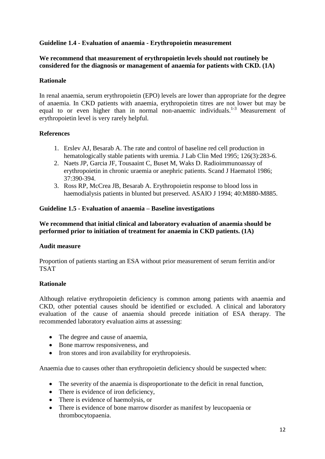## **Guideline 1.4 - Evaluation of anaemia - Erythropoietin measurement**

#### **We recommend that measurement of erythropoietin levels should not routinely be considered for the diagnosis or management of anaemia for patients with CKD. (1A)**

#### **Rationale**

In renal anaemia, serum erythropoietin (EPO) levels are lower than appropriate for the degree of anaemia. In CKD patients with anaemia, erythropoietin titres are not lower but may be equal to or even higher than in normal non-anaemic individuals.<sup>1-3</sup> Measurement of erythropoietin level is very rarely helpful.

#### **References**

- 1. Erslev AJ, Besarab A. The rate and control of baseline red cell production in hematologically stable patients with uremia. J Lab Clin Med 1995; 126(3):283-6.
- 2. Naets JP, Garcia JF, Tousaaint C, Buset M, Waks D. Radioimmunoassay of erythropoietin in chronic uraemia or anephric patients. Scand J Haematol 1986; 37:390-394.
- 3. Ross RP, McCrea JB, Besarab A. Erythropoietin response to blood loss in haemodialysis patients in blunted but preserved. [ASAIO J 1994; 40:M880-M885.](http://www.ncbi.nlm.nih.gov/entrez/query.fcgi?db=pubmed&cmd=Retrieve&dopt=Abstract&list_uids=8555638&query_hl=53&itool=pubmed_docsum)

#### **Guideline 1.5 - Evaluation of anaemia – Baseline investigations**

**We recommend that initial clinical and laboratory evaluation of anaemia should be performed prior to initiation of treatment for anaemia in CKD patients. (1A)**

#### **Audit measure**

Proportion of patients starting an ESA without prior measurement of serum ferritin and/or TSAT

## **Rationale**

Although relative erythropoietin deficiency is common among patients with anaemia and CKD, other potential causes should be identified or excluded. A clinical and laboratory evaluation of the cause of anaemia should precede initiation of ESA therapy. The recommended laboratory evaluation aims at assessing:

- The degree and cause of anaemia,
- Bone marrow responsiveness, and
- Iron stores and iron availability for erythropoiesis.

Anaemia due to causes other than erythropoietin deficiency should be suspected when:

- The severity of the anaemia is disproportionate to the deficit in renal function,
- There is evidence of iron deficiency,
- There is evidence of haemolysis, or
- There is evidence of bone marrow disorder as manifest by leucopaenia or thrombocytopaenia.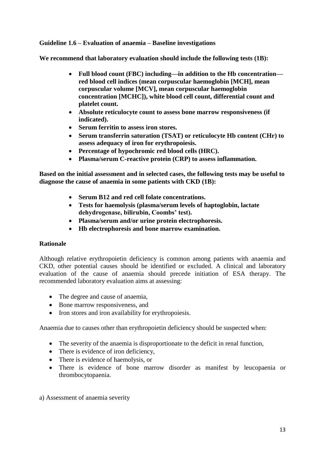## **Guideline 1.6 – Evaluation of anaemia – Baseline investigations**

**We recommend that laboratory evaluation should include the following tests (1B):**

- **Full blood count (FBC) including—in addition to the Hb concentration red blood cell indices (mean corpuscular haemoglobin [MCH], mean corpuscular volume [MCV], mean corpuscular haemoglobin concentration [MCHC]), white blood cell count, differential count and platelet count.**
- **Absolute reticulocyte count to assess bone marrow responsiveness (if indicated).**
- **Serum ferritin to assess iron stores.**
- **Serum transferrin saturation (TSAT) or reticulocyte Hb content (CHr) to assess adequacy of iron for erythropoiesis.**
- **Percentage of hypochromic red blood cells (HRC).**
- **Plasma/serum C-reactive protein (CRP) to assess inflammation.**

**Based on the initial assessment and in selected cases, the following tests may be useful to diagnose the cause of anaemia in some patients with CKD (1B):**

- **Serum B12 and red cell folate concentrations.**
- **Tests for haemolysis (plasma/serum levels of haptoglobin, lactate dehydrogenase, bilirubin, Coombs' test).**
- **Plasma/serum and/or urine protein electrophoresis.**
- **Hb electrophoresis and bone marrow examination.**

## **Rationale**

Although relative erythropoietin deficiency is common among patients with anaemia and CKD, other potential causes should be identified or excluded. A clinical and laboratory evaluation of the cause of anaemia should precede initiation of ESA therapy. The recommended laboratory evaluation aims at assessing:

- The degree and cause of anaemia.
- Bone marrow responsiveness, and
- Iron stores and iron availability for erythropoiesis.

Anaemia due to causes other than erythropoietin deficiency should be suspected when:

- The severity of the anaemia is disproportionate to the deficit in renal function,
- There is evidence of iron deficiency.
- There is evidence of haemolysis, or
- There is evidence of bone marrow disorder as manifest by leucopaenia or thrombocytopaenia.
- a) Assessment of anaemia severity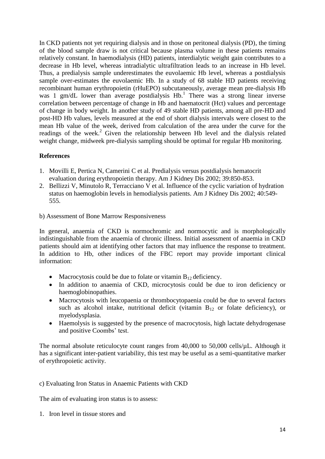In CKD patients not yet requiring dialysis and in those on peritoneal dialysis (PD), the timing of the blood sample draw is not critical because plasma volume in these patients remains relatively constant. In haemodialysis (HD) patients, interdialytic weight gain contributes to a decrease in Hb level, whereas intradialytic ultrafiltration leads to an increase in Hb level. Thus, a predialysis sample underestimates the euvolaemic Hb level, whereas a postdialysis sample over-estimates the euvolaemic Hb. In a study of 68 stable HD patients receiving recombinant human erythropoietin (rHuEPO) subcutaneously, average mean pre-dialysis Hb was 1 gm/dL lower than average postdialysis Hb.<sup>1</sup> There was a strong linear inverse correlation between percentage of change in Hb and haematocrit (Hct) values and percentage of change in body weight. In another study of 49 stable HD patients, among all pre-HD and post-HD Hb values, levels measured at the end of short dialysis intervals were closest to the mean Hb value of the week, derived from calculation of the area under the curve for the readings of the week.<sup>2</sup> Given the relationship between Hb level and the dialysis related weight change, midweek pre-dialysis sampling should be optimal for regular Hb monitoring.

## **References**

- 1. Movilli E, Pertica N, Camerini C et al. Predialysis versus postdialysis hematocrit evaluation during erythropoietin therapy. Am J Kidney Dis 2002; 39:850-853.
- 2. Bellizzi V, Minutolo R, Terracciano V et al. Influence of the cyclic variation of hydration status on haemoglobin levels in hemodialysis patients. Am J Kidney Dis 2002; 40:549- 555.
- b) Assessment of Bone Marrow Responsiveness

In general, anaemia of CKD is normochromic and normocytic and is morphologically indistinguishable from the anaemia of chronic illness. Initial assessment of anaemia in CKD patients should aim at identifying other factors that may influence the response to treatment. In addition to Hb, other indices of the FBC report may provide important clinical information:

- Macrocytosis could be due to folate or vitamin  $B_{12}$  deficiency.
- In addition to anaemia of CKD, microcytosis could be due to iron deficiency or haemoglobinopathies.
- Macrocytosis with leucopaenia or thrombocytopaenia could be due to several factors such as alcohol intake, nutritional deficit (vitamin  $B_{12}$  or folate deficiency), or myelodysplasia.
- Haemolysis is suggested by the presence of macrocytosis, high lactate dehydrogenase and positive Coombs' test.

The normal absolute reticulocyte count ranges from 40,000 to 50,000 cells/µL. Although it has a significant inter-patient variability, this test may be useful as a semi-quantitative marker of erythropoietic activity.

c) Evaluating Iron Status in Anaemic Patients with CKD

The aim of evaluating iron status is to assess:

1. Iron level in tissue stores and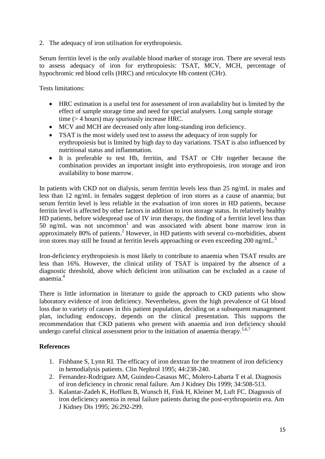2. The adequacy of iron utilisation for erythropoiesis.

Serum ferritin level is the only available blood marker of storage iron. There are several tests to assess adequacy of iron for erythropoiesis: TSAT, MCV, MCH, percentage of hypochromic red blood cells (HRC) and reticulocyte Hb content (CHr).

Tests limitations:

- HRC estimation is a useful test for assessment of iron availability but is limited by the effect of sample storage time and need for special analysers. Long sample storage time (> 4 hours) may spuriously increase HRC.
- MCV and MCH are decreased only after long-standing iron deficiency.
- TSAT is the most widely used test to assess the adequacy of iron supply for erythropoiesis but is limited by high day to day variations. TSAT is also influenced by nutritional status and inflammation.
- It is preferable to test Hb, ferritin, and TSAT or CHr together because the combination provides an important insight into erythropoiesis, iron storage and iron availability to bone marrow.

In patients with CKD not on dialysis, serum ferritin levels less than 25 ng/mL in males and less than 12 ng/mL in females suggest depletion of iron stores as a cause of anaemia; but serum ferritin level is less reliable in the evaluation of iron stores in HD patients, because ferritin level is affected by other factors in addition to iron storage status. In relatively healthy HD patients, before widespread use of IV iron therapy, the finding of a ferritin level less than  $50$  ng/mL was not uncommon<sup>1</sup> and was associated with absent bone marrow iron in approximately 80% of patients. <sup>2</sup> However, in HD patients with several co-morbidities, absent iron stores may still be found at ferritin levels approaching or even exceeding 200 ng/mL.<sup>[3](http://www.kidney.org/professionals/kdoqi/guidelines_anemia/references.htm#ref99)</sup>

Iron-deficiency erythropoiesis is most likely to contribute to anaemia when TSAT results are less than 16%. However, the clinical utility of TSAT is impaired by the absence of a diagnostic threshold, above which deficient iron utilisation can be excluded as a cause of anaemia.<sup>4</sup>

There is little information in literature to guide the approach to CKD patients who show laboratory evidence of iron deficiency. Nevertheless, given the high prevalence of GI blood loss due to variety of causes in this patient population, deciding on a subsequent management plan, including endoscopy, depends on the clinical presentation. This supports the recommendation that CKD patients who present with anaemia and iron deficiency should undergo careful clinical assessment prior to the initiation of anaemia therapy.<sup>5,6,7</sup>

## **References**

- 1. Fishbane S, Lynn RI. The efficacy of iron dextran for the treatment of iron deficiency in hemodialysis patients. [Clin Nephrol 1995; 44:238-240.](http://www.ncbi.nlm.nih.gov/entrez/query.fcgi?db=pubmed&cmd=Retrieve&dopt=Abstract&list_uids=8575123&query_hl=141&itool=pubmed_docsum)
- 2. Fernandez-Rodriguez AM, Guindeo-Casasus MC, Molero-Labarta T et al. Diagnosis of iron deficiency in chronic renal failure. [Am J Kidney Dis 1999; 34:508-513.](http://www.ncbi.nlm.nih.gov/entrez/query.fcgi?db=pubmed&cmd=Retrieve&dopt=Abstract&list_uids=10469862&query_hl=56&itool=pubmed_docsum)
- 3. Kalantar-Zadeh K, Hoffken B, Wunsch H, Fink H, Kleiner M, Luft FC. Diagnosis of iron deficiency anemia in renal failure patients during the post-erythropoietin era. [Am](http://www.ncbi.nlm.nih.gov/entrez/query.fcgi?db=pubmed&cmd=Retrieve&dopt=Abstract&list_uids=7645533&query_hl=59&itool=pubmed_docsum)  [J Kidney Dis 1995; 26:292-299.](http://www.ncbi.nlm.nih.gov/entrez/query.fcgi?db=pubmed&cmd=Retrieve&dopt=Abstract&list_uids=7645533&query_hl=59&itool=pubmed_docsum)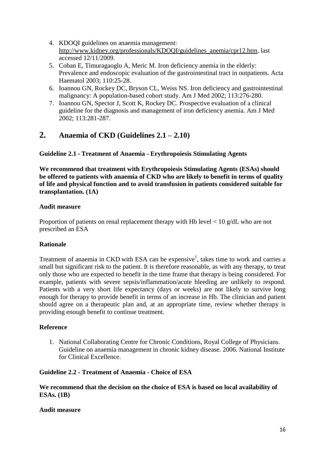- 4. KDOQI guidelines on anaemia management: [http://www.kidney.org/professionals/KDOQI/guidelines\\_anemia/cpr12.htm,](http://www.kidney.org/professionals/KDOQI/guidelines_anemia/cpr12.htm) last accessed 12/11/2009.
- 5. Coban E, Timuragaoglu A, Meric M. Iron deficiency anemia in the elderly: Prevalence and endoscopic evaluation of the gastrointestinal tract in outpatients. [Acta](http://www.ncbi.nlm.nih.gov/entrez/query.fcgi?db=pubmed&cmd=Retrieve&dopt=Abstract&list_uids=12975553&query_hl=62&itool=pubmed_docsum)  [Haematol 2003;](http://www.ncbi.nlm.nih.gov/entrez/query.fcgi?db=pubmed&cmd=Retrieve&dopt=Abstract&list_uids=12975553&query_hl=62&itool=pubmed_docsum) 110:25-28.
- 6. Ioannou GN, Rockey DC, Bryson CL, Weiss NS. Iron deficiency and gastrointestinal malignancy: A population-based cohort study. Am J Med 2002; 113:276-280.
- 7. Ioannou GN, Spector J, Scott K, Rockey DC. Prospective evaluation of a clinical guideline for the diagnosis and management of iron deficiency anemia. [Am J Med](http://www.ncbi.nlm.nih.gov/entrez/query.fcgi?db=pubmed&cmd=Retrieve&dopt=Abstract&list_uids=12361813&query_hl=68&itool=pubmed_docsum)  [2002; 113:281-287.](http://www.ncbi.nlm.nih.gov/entrez/query.fcgi?db=pubmed&cmd=Retrieve&dopt=Abstract&list_uids=12361813&query_hl=68&itool=pubmed_docsum)

# **2. Anaemia of CKD (Guidelines 2.1 – 2.10)**

## **Guideline 2.1 - Treatment of Anaemia - Erythropoiesis Stimulating Agents**

**We recommend that treatment with Erythropoiesis Stimulating Agents (ESAs) should be offered to patients with anaemia of CKD who are likely to benefit in terms of quality of life and physical function and to avoid transfusion in patients considered suitable for transplantation. (1A)**

## **Audit measure**

Proportion of patients on renal replacement therapy with Hb level < 10 g/dL who are not prescribed an ESA

## **Rationale**

Treatment of anaemia in CKD with ESA can be expensive<sup>1</sup>, takes time to work and carries a small but significant risk to the patient. It is therefore reasonable, as with any therapy, to treat only those who are expected to benefit in the time frame that therapy is being considered. For example, patients with severe sepsis/inflammation/acute bleeding are unlikely to respond. Patients with a very short life expectancy (days or weeks) are not likely to survive long enough for therapy to provide benefit in terms of an increase in Hb. The clinician and patient should agree on a therapeutic plan and, at an appropriate time, review whether therapy is providing enough benefit to continue treatment.

## **Reference**

1. National Collaborating Centre for Chronic Conditions, Royal College of Physicians. Guideline on anaemia management in chronic kidney disease. 2006. National Institute for Clinical Excellence.

## **Guideline 2.2 - Treatment of Anaemia - Choice of ESA**

#### **We recommend that the decision on the choice of ESA is based on local availability of ESAs. (1B)**

#### **Audit measure**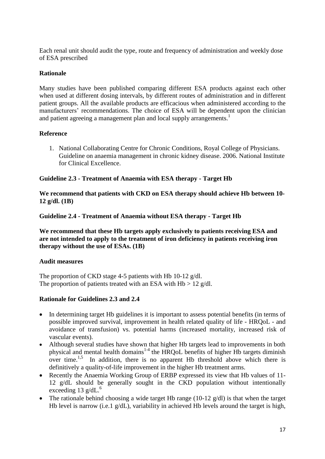Each renal unit should audit the type, route and frequency of administration and weekly dose of ESA prescribed

## **Rationale**

Many studies have been published comparing different ESA products against each other when used at different dosing intervals, by different routes of administration and in different patient groups. All the available products are efficacious when administered according to the manufacturers' recommendations. The choice of ESA will be dependent upon the clinician and patient agreeing a management plan and local supply arrangements.<sup>1</sup>

#### **Reference**

1. National Collaborating Centre for Chronic Conditions, Royal College of Physicians. Guideline on anaemia management in chronic kidney disease. 2006. National Institute for Clinical Excellence.

#### **Guideline 2.3 - Treatment of Anaemia with ESA therapy - Target Hb**

**We recommend that patients with CKD on ESA therapy should achieve Hb between 10- 12 g/dl. (1B)**

**Guideline 2.4 - Treatment of Anaemia without ESA therapy - Target Hb**

**We recommend that these Hb targets apply exclusively to patients receiving ESA and are not intended to apply to the treatment of iron deficiency in patients receiving iron therapy without the use of ESAs. (1B)**

#### **Audit measures**

The proportion of CKD stage 4-5 patients with Hb 10-12 g/dl. The proportion of patients treated with an ESA with  $Hb > 12$  g/dl.

## **Rationale for Guidelines 2.3 and 2.4**

- In determining target Hb guidelines it is important to assess potential benefits (in terms of possible improved survival, improvement in health related quality of life - HRQoL - and avoidance of transfusion) vs. potential harms (increased mortality, increased risk of vascular events).
- Although several studies have shown that higher Hb targets lead to improvements in both physical and mental health domains<sup>[1-](http://www.kidney.org/professionals/kdoqi/guidelines_anemia/hd_ref.htm#ref1)4</sup> the HRQoL benefits of higher Hb targets diminish over time.<sup>[1](http://www.kidney.org/professionals/kdoqi/guidelines_anemia/hd_ref.htm#ref1)[,5](http://www.kidney.org/professionals/kdoqi/guidelines_anemia/hd_ref.htm#ref15)</sup> In addition, there is no apparent Hb threshold above which there is definitively a quality-of-life improvement in the higher Hb treatment arms.
- Recently the Anaemia Working Group of ERBP expressed its view that Hb values of 11- 12 g/dL should be generally sought in the CKD population without intentionally exceeding 13  $g/dL$ .<sup>6</sup>
- The rationale behind choosing a wide target Hb range (10-12  $g/dl$ ) is that when the target Hb level is narrow (i.e.1 g/dL), variability in achieved Hb levels around the target is high,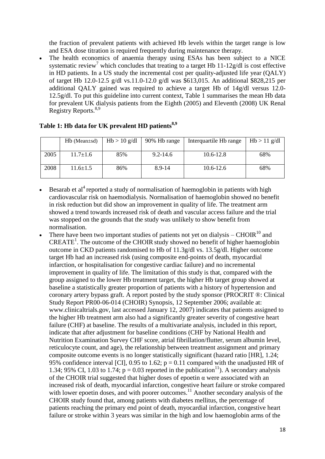the fraction of prevalent patients with achieved Hb levels within the target range is low and ESA dose titration is required frequently during maintenance therapy.

• The health economics of anaemia therapy using ESAs has been subject to a NICE systematic review<sup>7</sup> which concludes that treating to a target Hb  $11-12g/dl$  is cost effective in HD patients. In a US study the incremental cost per quality-adjusted life year (QALY) of target Hb 12.0-12.5 g/dl vs.11.0-12.0 g/dl was \$613,015. An additional \$828,215 per additional QALY gained was required to achieve a target Hb of 14g/dl versus 12.0- 12.5g/dl. To put this guideline into current context, Table 1 summarises the mean Hb data for prevalent UK dialysis patients from the Eighth (2005) and Eleventh (2008) UK Renal Registry Reports. 8,9

|      | $Hb$ (Mean $\pm$ sd) | $Hb > 10$ g/dl | 90% Hb range | Interquartile Hb range | $Hb > 11$ g/dl |
|------|----------------------|----------------|--------------|------------------------|----------------|
| 2005 | $11.7 \pm 1.6$       | 85%            | $9.2 - 14.6$ | 10.6-12.8              | 68%            |
| 2008 | $11.6 \pm 1.5$       | 86%            | 8.9-14       | $10.6 - 12.6$          | 68%            |

## **Table 1: Hb data for UK prevalent HD patients8,9**

- Besarab et  $al<sup>4</sup>$  reported a study of normalisation of haemoglobin in patients with high cardiovascular risk on haemodialysis. Normalisation of haemoglobin showed no benefit in risk reduction but did show an improvement in quality of life. The treatment arm showed a trend towards increased risk of death and vascular access failure and the trial was stopped on the grounds that the study was unlikely to show benefit from normalisation.
- There have been two important studies of patients not yet on dialysis CHOIR $^{10}$  and CREATE<sup>1</sup>. The outcome of the CHOIR study showed no benefit of higher haemoglobin outcome in CKD patients randomised to Hb of 11.3g/dl vs. 13.5g/dl. Higher outcome target Hb had an increased risk (using composite end-points of death, myocardial infarction, or hospitalisation for congestive cardiac failure) and no incremental improvement in quality of life. The limitation of this study is that, compared with the group assigned to the lower Hb treatment target, the higher Hb target group showed at baseline a statistically greater proportion of patients with a history of hypertension and coronary artery bypass graft. A report posted by the study sponsor (PROCRIT ®: Clinical Study Report PR00-06-014 (CHOIR) Synopsis, 12 September 2006; available at: www.clinicaltrials.gov, last accessed January 12, 2007) indicates that patients assigned to the higher Hb treatment arm also had a significantly greater severity of congestive heart failure (CHF) at baseline. The results of a multivariate analysis, included in this report, indicate that after adjustment for baseline conditions (CHF by National Health and Nutrition Examination Survey CHF score, atrial fibrillation/flutter, serum albumin level, reticulocyte count, and age), the relationship between treatment assignment and primary composite outcome events is no longer statistically significant (hazard ratio [HR], 1.24; 95% confidence interval [CI], 0.95 to 1.62;  $p = 0.11$  compared with the unadjusted HR of 1.34; 95% CI, 1.03 to 1.74;  $p = 0.03$  reported in the publication<sup>[11](http://www.kidney.org/professionals/kdoqi/guidelines_anemia/hd_ref.htm#ref2)</sup>). A secondary analysis of the CHOIR trial suggested that higher doses of epoetin α were associated with an increased risk of death, myocardial infarction, congestive heart failure or stroke compared with lower epoetin doses, and with poorer outcomes.<sup>11</sup> Another secondary analysis of the CHOIR study found that, among patients with diabetes mellitus, the percentage of patients reaching the primary end point of death, myocardial infarction, congestive heart failure or stroke within 3 years was similar in the high and low haemoglobin arms of the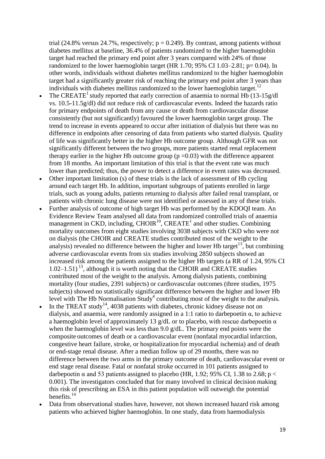trial (24.8% versus 24.7%, respectively;  $p = 0.249$ ). By contrast, among patients without diabetes mellitus at baseline, 36.4% of patients randomized to the higher haemoglobin target had reached the primary end point after 3 years compared with 24% of those randomized to the lower haemoglobin target (HR 1.70;  $95\%$  CI 1.03–2.81; p= 0.04). In other words, individuals without diabetes mellitus randomized to the higher haemoglobin target had a significantly greater risk of reaching the primary end point after 3 years than individuals with diabetes mellitus randomized to the lower haemoglobin target.<sup>12</sup>

- The CREATE<sup>1</sup> study reported that early correction of anaemia to normal Hb  $(13-15g/d)$ vs. 10.5-11.5g/dl) did not reduce risk of cardiovascular events. Indeed the hazards ratio for primary endpoints of death from any cause or death from cardiovascular disease consistently (but not significantly) favoured the lower haemoglobin target group. The trend to increase in events appeared to occur after initiation of dialysis but there was no difference in endpoints after censoring of data from patients who started dialysis. Quality of life was significantly better in the higher Hb outcome group. Although GFR was not significantly different between the two groups, more patients started renal replacement therapy earlier in the higher Hb outcome group  $(p=0.03)$  with the difference apparent from 18 months. An important limitation of this trial is that the event rate was much lower than predicted; thus, the power to detect a difference in event rates was decreased.
- Other important limitation (s) of these trials is the lack of assessment of Hb cycling around each target Hb. In addition, important subgroups of patients enrolled in large trials, such as young adults, patients returning to dialysis after failed renal transplant, or patients with chronic lung disease were not identified or assessed in any of these trials.
- Further analysis of outcome of high target Hb was performed by the KDOQI team. An Evidence Review Team analysed all data from randomized controlled trials of anaemia management in CKD, including, CHOIR $^{10}$ , CREATE<sup>1</sup> and other studies. Combining mortality outcomes from eight studies involving 3038 subjects with CKD who were not on dialysis (the CHOIR and CREATE studies contributed most of the weight to the analysis) revealed no difference between the higher and lower Hb target<sup>13</sup>, but combining adverse cardiovascular events from six studies involving 2850 subjects showed an increased risk among the patients assigned to the higher Hb targets (a RR of 1.24, 95% CI  $1.02-1.51$ )<sup>13</sup>, although it is worth noting that the CHOIR and CREATE studies contributed most of the weight to the analysis. Among dialysis patients, combining mortality (four studies, 2391 subjects) or cardiovascular outcomes (three studies, 1975 subjects) showed no statistically significant difference between the higher and lower Hb level with The Hb Normalisation  $\text{Study}^4$  contributing most of the weight to the analysis.
- $\bullet$  In the TREAT study<sup>14</sup>, 4038 patients with diabetes, chronic kidney disease not on dialysis, and anaemia, were randomly assigned in a 1:1 ratio to darbepoetin α, to achieve a haemoglobin level of approximately 13 g/dL or to placebo, with rescue darbepoetin  $\alpha$ when the haemoglobin level was less than 9.0 g/dL. The primary end points were the composite outcomes of death or a cardiovascular event (nonfatal myocardial infarction, congestive heart failure, stroke, or hospitalization for myocardial ischemia) and of death or end-stage renal disease. After a median follow up of 29 months, there was no difference between the two arms in the primary outcome of death, cardiovascular event or end stage renal disease. Fatal or nonfatal stroke occurred in 101 patients assigned to darbepoetin  $\alpha$  and 53 patients assigned to placebo (HR, 1.92; 95% CI, 1.38 to 2.68; p < 0.001). The investigators concluded that for many involved in clinical decision making this risk of prescribing an ESA in this patient population will outweigh the potential benefits.<sup>14</sup>
- Data from observational studies have, however, not shown increased hazard risk among patients who achieved higher haemoglobin. In one study, data from haemodialysis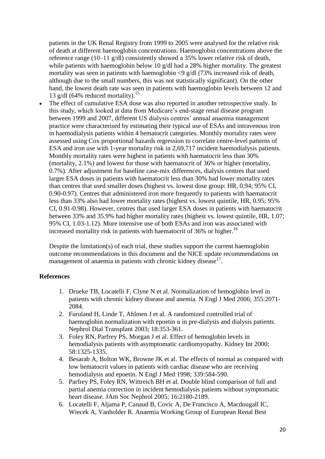patients in the UK Renal Registry from 1999 to 2005 were analysed for the relative risk of death at different haemoglobin concentrations. Haemoglobin concentrations above the reference range (10–11 g/dl) consistently showed a 35% lower relative risk of death, while patients with haemoglobin below 10 g/dl had a 28% higher mortality. The greatest mortality was seen in patients with haemoglobin <9 g/dl (73% increased risk of death, although due to the small numbers, this was not statistically significant). On the other hand, the lowest death rate was seen in patients with haemoglobin levels between 12 and 13 g/dl (64% reduced mortality).<sup>15</sup>

 The effect of cumulative ESA dose was also reported in another retrospective study. In this study, which looked at data from Medicare's end-stage renal disease program between 1999 and 2007, different US dialysis centres' annual anaemia management practice were characterised by estimating their typical use of ESAs and intravenous iron in haemodialysis patients within 4 hematocrit categories. Monthly mortality rates were assessed using Cox proportional hazards regression to correlate centre-level patterns of ESA and iron use with 1-year mortality risk in 2,69,717 incident haemodialysis patients. Monthly mortality rates were highest in patients with haematocrit less than 30% (mortality, 2.1%) and lowest for those with haematocrit of 36% or higher (mortality, 0.7%). After adjustment for baseline case-mix differences, dialysis centres that used larger ESA doses in patients with haematocrit less than 30% had lower mortality rates than centres that used smaller doses (highest vs. lowest dose group: HR, 0.94; 95% CI, 0.90-0.97). Centres that administered iron more frequently to patients with haematocrit less than 33% also had lower mortality rates (highest vs. lowest quintile, HR, 0.95; 95% CI, 0.91-0.98). However, centres that used larger ESA doses in patients with haematocrit between 33% and 35.9% had higher mortality rates (highest vs. lowest quintile, HR, 1.07; 95% CI, 1.03-1.12). More intensive use of both ESAs and iron was associated with increased mortality risk in patients with haematocrit of  $36\%$  or higher.<sup>16</sup>

Despite the limitation(s) of each trial, these studies support the current haemoglobin outcome recommendations in this document and the NICE update recommendations on management of anaemia in patients with chronic kidney disease $17$ .

#### **References**

- 1. Drueke TB, Locatelli F, Clyne N et al. Normalization of hemoglobin level in patients with chronic kidney disease and anemia. [N Engl J Med 2006; 355:2071-](http://www.ncbi.nlm.nih.gov/pubmed/17108342?ordinalpos=2&itool=EntrezSystem2.PEntrez.Pubmed.Pubmed_ResultsPanel.Pubmed_RVDocSum) [2084.](http://www.ncbi.nlm.nih.gov/pubmed/17108342?ordinalpos=2&itool=EntrezSystem2.PEntrez.Pubmed.Pubmed_ResultsPanel.Pubmed_RVDocSum)
- 2. Furuland H, Linde T, Ahlmen J et al. A randomized controlled trial of haemoglobin normalization with epoetin  $\alpha$  in pre-dialysis and dialysis patients. [Nephrol Dial Transplant 2003; 18:353-361.](http://www.ncbi.nlm.nih.gov/sites/entrez?term=A%20randomizedcontrolled%20trial%20of%20haemoglobin%20normalization%20with%20epoetinalfa%20in%20pre-dialysis%20and%20dialysis%20patients.%20)
- 3. Foley RN, Parfrey PS, Morgan J et al. Effect of hemoglobin levels in hemodialysis patients with asymptomatic cardiomyopathy. [Kidney Int 2000;](http://www.ncbi.nlm.nih.gov/sites/entrez?term=Effect%20of%0Ahemoglobin%20levels%20in%20hemodialysis%20patients%20with%20asymptomatic%0Acardiomyopathy.)  [58:1325-1335.](http://www.ncbi.nlm.nih.gov/sites/entrez?term=Effect%20of%0Ahemoglobin%20levels%20in%20hemodialysis%20patients%20with%20asymptomatic%0Acardiomyopathy.)
- 4. Besarab A, Bolton WK, Browne JK et al. The effects of normal as compared with low hematocrit values in patients with cardiac disease who are receiving hemodialysis and epoetin. [N Engl J Med 1998; 339:584-590.](http://www.ncbi.nlm.nih.gov/pubmed/9882204?ordinalpos=2&itool=EntrezSystem2.PEntrez.Pubmed.Pubmed_ResultsPanel.Pubmed_RVAbstractPlusDrugs1)
- 5. Parfrey PS, Foley RN, Wittreich BH et al. Double blind comparison of full and partial anemia correction in incident hemodialysis patients without symptomatic heart disease. [JAm Soc Nephrol 2005; 16:2180-2189.](http://www.ncbi.nlm.nih.gov/sites/entrez?term=double%20blind%20comparison%20of%20full%20and%20partial%20anemia%20correction%20in%20incident%20hemodialysis%20patients%20without%20symptomatic%20heart%20disease.&)
- 6. [Locatelli F,](http://www.ncbi.nlm.nih.gov/pubmed?term=%22Locatelli%20F%22%5BAuthor%5D) [Aljama P,](http://www.ncbi.nlm.nih.gov/pubmed?term=%22Aljama%20P%22%5BAuthor%5D) [Canaud B,](http://www.ncbi.nlm.nih.gov/pubmed?term=%22Canaud%20B%22%5BAuthor%5D) [Covic A,](http://www.ncbi.nlm.nih.gov/pubmed?term=%22Covic%20A%22%5BAuthor%5D) [De Francisco A,](http://www.ncbi.nlm.nih.gov/pubmed?term=%22De%20Francisco%20A%22%5BAuthor%5D) [Macdougall IC,](http://www.ncbi.nlm.nih.gov/pubmed?term=%22Macdougall%20IC%22%5BAuthor%5D) [Wiecek A,](http://www.ncbi.nlm.nih.gov/pubmed?term=%22Wiecek%20A%22%5BAuthor%5D) [Vanholder R.](http://www.ncbi.nlm.nih.gov/pubmed?term=%22Vanholder%20R%22%5BAuthor%5D) [Anaemia Working Group of European Renal Best](http://www.ncbi.nlm.nih.gov/pubmed?term=%22Anaemia%20Working%20Group%20of%20European%20Renal%20Best%20Practice%20(ERBP)%22%5BCorporate%20Author%5D)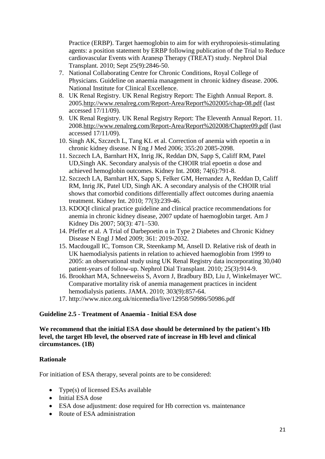[Practice \(ERBP\).](http://www.ncbi.nlm.nih.gov/pubmed?term=%22Anaemia%20Working%20Group%20of%20European%20Renal%20Best%20Practice%20(ERBP)%22%5BCorporate%20Author%5D) Target haemoglobin to aim for with erythropoiesis-stimulating agents: a position statement by ERBP following publication of the Trial to Reduce cardiovascular Events with Aranesp Therapy (TREAT) study. [Nephrol Dial](javascript:AL_get(this,%20)  [Transplant.](javascript:AL_get(this,%20) 2010; Sept 25(9):2846-50.

- 7. National Collaborating Centre for Chronic Conditions, Royal College of Physicians. Guideline on anaemia management in chronic kidney disease. 2006. National Institute for Clinical Excellence.
- 8. UK Renal Registry. UK Renal Registry Report: The Eighth Annual Report. 8. 2005[.http://www.renalreg.com/Report-Area/Report%202005/chap-08.pdf](http://www.renalreg.com/Report-Area/Report%202005/chap-08.pdf) (last accessed 17/11/09).
- 9. UK Renal Registry. UK Renal Registry Report: The Eleventh Annual Report. 11. 2008[.http://www.renalreg.com/Report-Area/Report%202008/Chapter09.pdf](http://www.renalreg.com/Report-Area/Report%202008/Chapter09.pdf) (last accessed 17/11/09).
- 10. Singh AK, Szczech L, Tang KL et al. Correction of anemia with epoetin  $\alpha$  in chronic kidney disease. N Eng J Med 2006; 355:20 2085-2098.
- 11. Szczech LA, Barnhart HX, Inrig JK, Reddan DN, Sapp S, Califf RM, Patel UD, Singh AK. Secondary analysis of the CHOIR trial epoetin  $\alpha$  dose and achieved hemoglobin outcomes. Kidney Int. 2008; 74(6):791-8.
- 12. Szczech LA, Barnhart HX, Sapp S, Felker GM, Hernandez A, Reddan D, Califf RM, Inrig JK, Patel UD, Singh AK. A secondary analysis of the CHOIR trial shows that comorbid conditions differentially affect outcomes during anaemia treatment. Kidney Int. 2010; 77(3):239-46.
- 13. KDOQI clinical practice guideline and clinical practice recommendations for anemia in chronic kidney disease, 2007 update of haemoglobin target. Am J Kidney Dis 2007; 50(3): 471–530.
- 14. Pfeffer et al. A Trial of Darbepoetin α in Type 2 Diabetes and Chronic Kidney Disease N Engl J Med 2009; 361: 2019-2032.
- 15. Macdougall IC, Tomson CR, Steenkamp M, Ansell D. Relative risk of death in UK haemodialysis patients in relation to achieved haemoglobin from 1999 to 2005: an observational study using UK Renal Registry data incorporating 30,040 patient-years of follow-up. Nephrol Dial Transplant. 2010; 25(3):914-9.
- 16. Brookhart MA, Schneeweiss S, Avorn J, Bradbury BD, Liu J, Winkelmayer WC. Comparative mortality risk of anemia management practices in incident hemodialysis patients. JAMA. 2010; 303(9):857-64.
- 17. http://www.nice.org.uk/nicemedia/live/12958/50986/50986.pdf

## **Guideline 2.5 - Treatment of Anaemia - Initial ESA dose**

**We recommend that the initial ESA dose should be determined by the patient's Hb level, the target Hb level, the observed rate of increase in Hb level and clinical circumstances. (1B)**

## **Rationale**

For initiation of ESA therapy, several points are to be considered:

- Type(s) of licensed ESAs available
- Initial ESA dose
- ESA dose adjustment: dose required for Hb correction vs. maintenance
- Route of ESA administration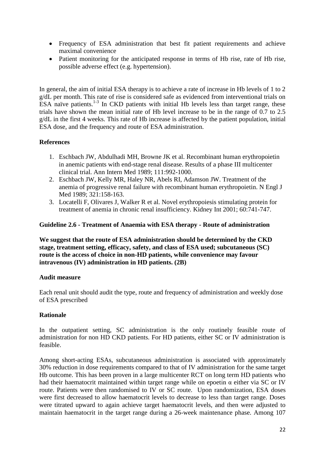- Frequency of ESA administration that best fit patient requirements and achieve maximal convenience
- Patient monitoring for the anticipated response in terms of Hb rise, rate of Hb rise, possible adverse effect (e.g. hypertension).

In general, the aim of initial ESA therapy is to achieve a rate of increase in Hb levels of 1 to 2 g/dL per month. This rate of rise is considered safe as evidenced from interventional trials on  $ESA$  naïve patients.<sup>1-3</sup> In CKD patients with initial Hb levels less than target range, these trials have shown the mean initial rate of Hb level increase to be in the range of 0.7 to 2.5 g/dL in the first 4 weeks. This rate of Hb increase is affected by the patient population, initial ESA dose, and the frequency and route of ESA administration.

## **References**

- 1. Eschbach JW, Abdulhadi MH, Browne JK et al. Recombinant human erythropoietin in anemic patients with end-stage renal disease. Results of a phase III multicenter clinical trial. Ann Intern Med 1989; 111:992-1000.
- 2. Eschbach JW, Kelly MR, Haley NR, Abels RI, Adamson JW. Treatment of the anemia of progressive renal failure with recombinant human erythropoietin. N Engl J Med 1989: 321:158-163.
- 3. Locatelli F, Olivares J, Walker R et al. Novel erythropoiesis stimulating protein for treatment of anemia in chronic renal insufficiency. [Kidney Int 2001; 60:741-747.](http://www.ncbi.nlm.nih.gov/entrez/query.fcgi?db=pubmed&cmd=Retrieve&dopt=Abstract&list_uids=11473657&query_hl=166&itool=pubmed_docsum)

## **Guideline 2.6 - Treatment of Anaemia with ESA therapy - Route of administration**

**We suggest that the route of ESA administration should be determined by the CKD stage, treatment setting, efficacy, safety, and class of ESA used; subcutaneous (SC) route is the access of choice in non-HD patients, while convenience may favour intravenous (IV) administration in HD patients. (2B)**

## **Audit measure**

Each renal unit should audit the type, route and frequency of administration and weekly dose of ESA prescribed

## **Rationale**

In the outpatient setting, SC administration is the only routinely feasible route of administration for non HD CKD patients. For HD patients, either SC or IV administration is feasible.

Among short-acting ESAs, subcutaneous administration is associated with approximately 30% reduction in dose requirements compared to that of IV administration for the same target Hb outcome. This has been proven in a large multicenter RCT on long term HD patients who had their haematocrit maintained within target range while on epoetin  $\alpha$  either via SC or IV route. Patients were then randomised to IV or SC route. Upon randomization, ESA doses were first decreased to allow haematocrit levels to decrease to less than target range. Doses were titrated upward to again achieve target haematocrit levels, and then were adjusted to maintain haematocrit in the target range during a 26-week maintenance phase. Among 107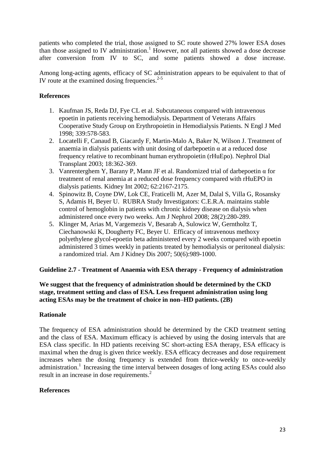patients who completed the trial, those assigned to SC route showed 27% lower ESA doses than those assigned to IV administration.<sup>1</sup> However, not all patients showed a dose decrease after conversion from IV to SC, and some patients showed a dose increase.

Among long-acting agents, efficacy of SC administration appears to be equivalent to that of IV route at the examined dosing frequencies. 2-5

## **References**

- 1. Kaufman JS, Reda DJ, Fye CL et al. Subcutaneous compared with intravenous epoetin in patients receiving hemodialysis. Department of Veterans Affairs Cooperative Study Group on Erythropoietin in Hemodialysis Patients. [N Engl J Med](http://www.ncbi.nlm.nih.gov/entrez/query.fcgi?db=pubmed&cmd=Retrieve&dopt=Abstract&list_uids=9718376&query_hl=202&itool=pubmed_docsum)  [1998; 339:578-583](http://www.ncbi.nlm.nih.gov/entrez/query.fcgi?db=pubmed&cmd=Retrieve&dopt=Abstract&list_uids=9718376&query_hl=202&itool=pubmed_docsum).
- 2. Locatelli F, Canaud B, Giacardy F, Martin-Malo A, Baker N, Wilson J. Treatment of anaemia in dialysis patients with unit dosing of darbepoetin  $\alpha$  at a reduced dose frequency relative to recombinant human erythropoietin (rHuEpo). [Nephrol Dial](http://www.ncbi.nlm.nih.gov/entrez/query.fcgi?db=pubmed&cmd=Retrieve&dopt=Abstract&list_uids=12543893&query_hl=142&itool=pubmed_docsum)  [Transplant 2003; 18:362-369](http://www.ncbi.nlm.nih.gov/entrez/query.fcgi?db=pubmed&cmd=Retrieve&dopt=Abstract&list_uids=12543893&query_hl=142&itool=pubmed_docsum).
- 3. Vanrenterghem Y, Barany P, Mann JF et al. Randomized trial of darbepoetin α for treatment of renal anemia at a reduced dose frequency compared with rHuEPO in dialysis patients. [Kidney Int 2002; 62:2167-2175](http://www.ncbi.nlm.nih.gov/entrez/query.fcgi?db=pubmed&cmd=Retrieve&dopt=Abstract&list_uids=12427142&query_hl=151&itool=pubmed_docsum).
- 4. Spinowitz B, Coyne DW, Lok CE, Fraticelli M, Azer M, Dalal S, Villa G, Rosansky S, Adamis H, Beyer U. RUBRA Study Investigators: [C.E.R.A. maintains stable](http://www.ncbi.nlm.nih.gov/pubmed/18004064?itool=EntrezSystem2.PEntrez.Pubmed.Pubmed_ResultsPanel.Pubmed_RVDocSum&ordinalpos=1)  control of hemoglobin in patients with [chronic kidney disease on dialysis when](http://www.ncbi.nlm.nih.gov/pubmed/18004064?itool=EntrezSystem2.PEntrez.Pubmed.Pubmed_ResultsPanel.Pubmed_RVDocSum&ordinalpos=1)  [administered once every two weeks.](http://www.ncbi.nlm.nih.gov/pubmed/18004064?itool=EntrezSystem2.PEntrez.Pubmed.Pubmed_ResultsPanel.Pubmed_RVDocSum&ordinalpos=1) Am J Nephrol 2008; 28(2):280-289.
- 5. Klinger M, Arias M, Vargemezis V, Besarab A, Sulowicz W, Gerntholtz T, Ciechanowski K, Dougherty FC, Beyer U. [Efficacy of intravenous methoxy](http://www.ncbi.nlm.nih.gov/pubmed/18037099?itool=EntrezSystem2.PEntrez.Pubmed.Pubmed_ResultsPanel.Pubmed_RVDocSum&ordinalpos=5)  [polyethylene glycol-epoetin beta administered every 2 weeks compared with epoetin](http://www.ncbi.nlm.nih.gov/pubmed/18037099?itool=EntrezSystem2.PEntrez.Pubmed.Pubmed_ResultsPanel.Pubmed_RVDocSum&ordinalpos=5)  [administered 3 times weekly in patients treated by hemodialysis or peritoneal dialysis:](http://www.ncbi.nlm.nih.gov/pubmed/18037099?itool=EntrezSystem2.PEntrez.Pubmed.Pubmed_ResultsPanel.Pubmed_RVDocSum&ordinalpos=5)  [a randomized trial.](http://www.ncbi.nlm.nih.gov/pubmed/18037099?itool=EntrezSystem2.PEntrez.Pubmed.Pubmed_ResultsPanel.Pubmed_RVDocSum&ordinalpos=5) Am J Kidney Dis 2007; 50(6):989-1000.

## **Guideline 2.7 - Treatment of Anaemia with ESA therapy - Frequency of administration**

## **We suggest that the frequency of administration should be determined by the CKD stage, treatment setting and class of ESA. Less frequent administration using long acting ESAs may be the treatment of choice in non–HD patients. (2B)**

## **Rationale**

The frequency of ESA administration should be determined by the CKD treatment setting and the class of ESA. Maximum efficacy is achieved by using the dosing intervals that are ESA class specific. In HD patients receiving SC short-acting ESA therapy, ESA efficacy is maximal when the drug is given thrice weekly. ESA efficacy decreases and dose requirement increases when the dosing frequency is extended from thrice-weekly to once-weekly administration.<sup>1</sup> Increasing the time interval between dosages of long acting ESAs could also result in an increase in dose requirements.<sup>2</sup>

## **References**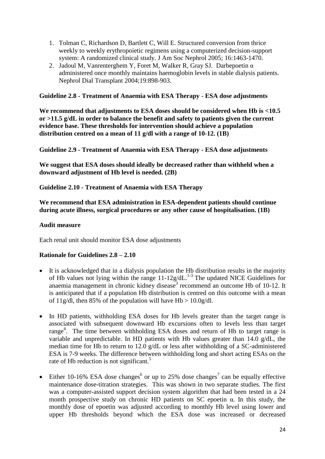- 1. Tolman C, Richardson D, Bartlett C, Will E. Structured conversion from thrice weekly to weekly erythropoietic regimens using a computerized decision-support system: A randomized clinical study. J Am Soc Nephrol 2005; 16:1463-1470.
- 2. Jadoul M, Vanrenterghem Y, Foret M, Walker R, Gray SJ. Darbepoetin α administered once monthly maintains haemoglobin levels in stable dialysis patients. [Nephrol Dial Transplant 2004;19:898-903.](http://www.ncbi.nlm.nih.gov/entrez/query.fcgi?db=pubmed&cmd=Retrieve&dopt=Abstract&list_uids=15031347&query_hl=157&itool=pubmed_docsum)

#### **Guideline 2.8 - Treatment of Anaemia with ESA Therapy** - **ESA dose adjustments**

**We recommend that adjustments to ESA doses should be considered when Hb is <10.5 or >11.5 g/dL in order to balance the benefit and safety to patients given the current evidence base. These thresholds for intervention should achieve a population distribution centred on a mean of 11 g/dl with a range of 10-12. (1B)**

**Guideline 2.9 - Treatment of Anaemia with ESA Therapy - ESA dose adjustments**

**We suggest that ESA doses should ideally be decreased rather than withheld when a downward adjustment of Hb level is needed. (2B)**

**Guideline 2.10 - Treatment of Anaemia with ESA Therapy**

**We recommend that ESA administration in ESA-dependent patients should continue during acute illness, surgical procedures or any other cause of hospitalisation. (1B)**

#### **Audit measure**

Each renal unit should monitor ESA dose adjustments

#### **Rationale for Guidelines 2.8 – 2.10**

- It is acknowledged that in a dialysis population the Hb distribution results in the majority of Hb values not lying within the range 11-12g/dL.<sup>1-3</sup> The updated NICE Guidelines for anaemia management in chronic kidney disease<sup>3</sup> recommend an outcome Hb of 10-12. It is anticipated that if a population Hb distribution is centred on this outcome with a mean of 11g/dl, then 85% of the population will have  $Hb > 10.0g/dl$ .
- In HD patients, withholding ESA doses for Hb levels greater than the target range is associated with subsequent downward Hb excursions often to levels less than target range<sup>4</sup>. The time between withholding ESA doses and return of Hb to target range is variable and unpredictable. In HD patients with Hb values greater than 14.0 g/dL, the median time for Hb to return to 12.0 g/dL or less after withholding of a SC-administered ESA is 7-9 weeks. The difference between withholding long and short acting ESAs on the rate of Hb reduction is not significant.<sup>[5](http://www.kidney.org/professionals/kdoqi/guidelines_anemia/hd_ref.htm#ref33)</sup>
- Either 10-1[6](http://www.kidney.org/professionals/kdoqi/guidelines_anemia/hd_ref.htm#ref34)% ESA dose changes<sup>6</sup> or up to 25% dose changes<sup>[7](http://www.kidney.org/professionals/kdoqi/guidelines_anemia/hd_ref.htm#ref32)</sup> can be equally effective maintenance dose-titration strategies. This was shown in two separate studies. The first was a computer-assisted support decision system algorithm that had been tested in a 24 month prospective study on chronic HD patients on SC epoetin  $\alpha$ . In this study, the monthly dose of epoetin was adjusted according to monthly Hb level using lower and upper Hb thresholds beyond which the ESA dose was increased or decreased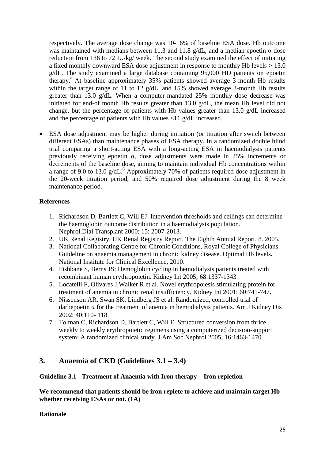respectively. The average dose change was 10-16% of baseline ESA dose. Hb outcome was maintained with medians between 11.3 and 11.8 g/dL, and a median epoetin  $\alpha$  dose reduction from 136 to 72 IU/kg/ week. The second study examined the effect of initiating a fixed monthly downward ESA dose adjustment in response to monthly Hb levels > 13.0 g/dL. The study examined a large database containing 95,000 HD patients on epoetin therapy. <sup>4</sup> At baseline approximately 35% patients showed average 3-month Hb results within the target range of 11 to 12 g/dL, and 15% showed average 3-month Hb results greater than 13.0 g/dL. When a computer-mandated 25% monthly dose decrease was initiated for end-of month Hb results greater than 13.0 g/dL, the mean Hb level did not change, but the percentage of patients with Hb values greater than 13.0 g/dL increased and the percentage of patients with Hb values <11 g/dL increased.

 ESA dose adjustment may be higher during initiation (or titration after switch between different ESAs) than maintenance phases of ESA therapy. In a randomized double blind trial comparing a short-acting ESA with a long-acting ESA in haemodialysis patients previously receiving epoetin  $\alpha$ , dose adjustments were made in 25% increments or decrements of the baseline dose, aiming to maintain individual Hb concentrations within a range of 9.0 to 13.0 g/dL.<sup>6</sup> Approximately 70% of patients required dose adjustment in the 20-week titration period, and 50% required dose adjustment during the 8 week maintenance period.

## **References**

- 1. Richardson D, Bartlett C, Will EJ. Intervention thresholds and ceilings can determine the haemoglobin outcome distribution in a haemodialysis population. Nephrol.Dial.Transplant 2000; 15: 2007-2013.
- 2. UK Renal Registry. UK Renal Registry Report. The Eighth Annual Report. 8. 2005.
- 3. National Collaborating Centre for Chronic Conditions, Royal College of Physicians. Guideline on anaemia management in chronic kidney disease. Optimal Hb levels**.** National Institute for Clinical Excellence, 2010.
- 4. Fishbane S, Berns JS: Hemoglobin cycling in hemodialysis patients treated with recombinant human erythropoietin. [Kidney Int 2005; 68:1337-1343](http://www.ncbi.nlm.nih.gov/pubmed/16105069?ordinalpos=1&itool=EntrezSystem2.PEntrez.Pubmed.Pubmed_ResultsPanel.Pubmed_RVDocSum).
- 5. Locatelli F, Olivares J,Walker R et al. Novel erythropoiesis stimulating protein for treatment of anemia in chronic renal insufficiency. [Kidney Int 2001; 60:741-747](http://www.ncbi.nlm.nih.gov/pubmed/11473657?ordinalpos=9&itool=EntrezSystem2.PEntrez.Pubmed.Pubmed_ResultsPanel.Pubmed_RVDocSum)**.**
- 6. Nissenson AR, Swan SK, Lindberg JS et al. Randomized, controlled trial of darbepoetin α for the treatment of anemia in hemodialysis patients. [Am J Kidney Dis](http://www.ncbi.nlm.nih.gov/pubmed/12087568?ordinalpos=12&itool=EntrezSystem2.PEntrez.Pubmed.Pubmed_ResultsPanel.Pubmed_RVDocSum)  [2002; 40:110-](http://www.ncbi.nlm.nih.gov/pubmed/12087568?ordinalpos=12&itool=EntrezSystem2.PEntrez.Pubmed.Pubmed_ResultsPanel.Pubmed_RVDocSum) 118.
- 7. Tolman C, Richardson D, Bartlett C, Will E. Structured conversion from thrice weekly to weekly erythropoietic regimens using a computerized decision-support system: A randomized clinical study. J Am Soc Nephrol 2005; [16:1463-1470.](http://www.ncbi.nlm.nih.gov/sites/entrez?term=Structuredconversion%20from%20thrice%20weekly%20to%20weekly%20erythropoieticregimens%20using%20a%20computerized%20decision-support%20system)

## **3. Anaemia of CKD (Guidelines 3.1 – 3.4)**

#### **Guideline 3.1 - Treatment of Anaemia with Iron therapy – Iron repletion**

**We recommend that patients should be iron replete to achieve and maintain target Hb whether receiving ESAs or not. (1A)**

## **Rationale**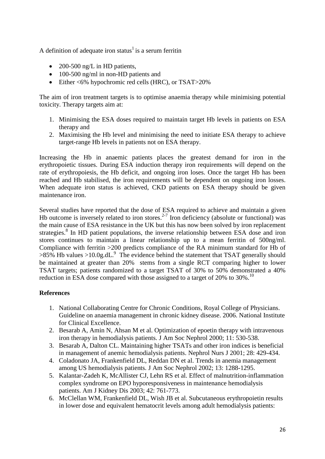A definition of adequate iron status<sup>1</sup> is a serum ferritin

- $\bullet$  200-500 ng/L in HD patients,
- 100-500 ng/ml in non-HD patients and
- Either <6% hypochromic red cells (HRC), or TSAT>20%

The aim of iron treatment targets is to optimise anaemia therapy while minimising potential toxicity. Therapy targets aim at:

- 1. Minimising the ESA doses required to maintain target Hb levels in patients on ESA therapy and
- 2. Maximising the Hb level and minimising the need to initiate ESA therapy to achieve target-range Hb levels in patients not on ESA therapy.

Increasing the Hb in anaemic patients places the greatest demand for iron in the erythropoietic tissues. During ESA induction therapy iron requirements will depend on the rate of erythropoiesis, the Hb deficit, and ongoing iron loses. Once the target Hb has been reached and Hb stabilised, the iron requirements will be dependent on ongoing iron losses. When adequate iron status is achieved, CKD patients on ESA therapy should be given maintenance iron.

Several studies have reported that the dose of ESA required to achieve and maintain a given Hb outcome is inversely related to iron stores.<sup>2-7</sup> Iron deficiency (absolute or functional) was the main cause of ESA resistance in the UK but this has now been solved by iron replacement strategies.<sup>8</sup> In HD patient populations, the inverse relationship between ESA dose and iron stores continues to maintain a linear relationship up to a mean ferritin of 500ng/ml. Compliance with ferritin >200 predicts compliance of the RA minimum standard for Hb of  $>85\%$  Hb values  $>10.0$ g.dL.<sup>9</sup> The evidence behind the statement that TSAT generally should be maintained at greater than 20% stems from a single RCT comparing higher to lower TSAT targets; patients randomized to a target TSAT of 30% to 50% demonstrated a 40% reduction in ESA dose compared with those assigned to a target of 20% to 30%.<sup>10</sup>

## **References**

- 1. National Collaborating Centre for Chronic Conditions, Royal College of Physicians. Guideline on anaemia management in chronic kidney disease. 2006. National Institute for Clinical Excellence.
- 2. Besarab A, Amin N, Ahsan M et al. Optimization of epoetin therapy with intravenous iron therapy in hemodialysis patients. J Am Soc Nephrol 2000; 11: 530-538.
- 3. Besarab A, Dalton CL. Maintaining higher TSATs and other iron indices is beneficial in management of anemic hemodialysis patients. Nephrol Nurs J 2001; 28: 429-434.
- 4. Coladonato JA, Frankenfield DL, Reddan DN et al. Trends in anemia management among US hemodialysis patients. J Am Soc Nephrol 2002; 13: 1288-1295.
- 5. Kalantar-Zadeh K, McAllister CJ, Lehn RS et al. Effect of malnutrition-inflammation complex syndrome on EPO hyporesponsiveness in maintenance hemodialysis patients. Am J Kidney Dis 2003; 42: 761-773.
- 6. McClellan WM, Frankenfield DL, Wish JB et al. Subcutaneous erythropoietin results in lower dose and equivalent hematocrit levels among adult hemodialysis patients: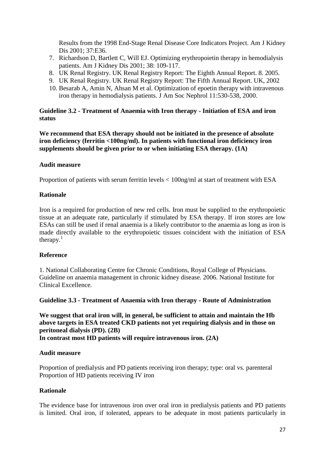Results from the 1998 End-Stage Renal Disease Core Indicators Project. Am J Kidney Dis 2001; 37:E36.

- 7. Richardson D, Bartlett C, Will EJ. Optimizing erythropoietin therapy in hemodialysis patients. Am J Kidney Dis 2001; 38: 109-117.
- 8. UK Renal Registry. UK Renal Registry Report: The Eighth Annual Report. 8. 2005.
- 9. UK Renal Registry. UK Renal Registry Report: The Fifth Annual Report. UK, 2002
- 10. Besarab A, Amin N, Ahsan M et al. Optimization of epoetin therapy with intravenous iron therapy in hemodialysis patients. [J Am Soc Nephrol 11:530-538, 2000.](http://www.ncbi.nlm.nih.gov/entrez/query.fcgi?db=pubmed&cmd=Retrieve&dopt=Abstract&list_uids=10703677&query_hl=172&itool=pubmed_docsum)

## **Guideline 3.2 - Treatment of Anaemia with Iron therapy - Initiation of ESA and iron status**

**We recommend that ESA therapy should not be initiated in the presence of absolute iron deficiency (ferritin <100ng/ml). In patients with functional iron deficiency iron supplements should be given prior to or when initiating ESA therapy. (1A)**

## **Audit measure**

Proportion of patients with serum ferritin levels < 100ng/ml at start of treatment with ESA

## **Rationale**

Iron is a required for production of new red cells. Iron must be supplied to the erythropoietic tissue at an adequate rate, particularly if stimulated by ESA therapy. If iron stores are low ESAs can still be used if renal anaemia is a likely contributor to the anaemia as long as iron is made directly available to the erythropoietic tissues coincident with the initiation of ESA therapy. $<sup>1</sup>$ </sup>

## **Reference**

1. National Collaborating Centre for Chronic Conditions, Royal College of Physicians. Guideline on anaemia management in chronic kidney disease. 2006. National Institute for Clinical Excellence.

#### **Guideline 3.3 - Treatment of Anaemia with Iron therapy - Route of Administration**

**We suggest that oral iron will, in general, be sufficient to attain and maintain the Hb above targets in ESA treated CKD patients not yet requiring dialysis and in those on peritoneal dialysis (PD). (2B)** 

**In contrast most HD patients will require intravenous iron. (2A)**

## **Audit measure**

Proportion of predialysis and PD patients receiving iron therapy; type: oral vs. parenteral Proportion of HD patients receiving IV iron

## **Rationale**

The evidence base for intravenous iron over oral iron in predialysis patients and PD patients is limited. Oral iron, if tolerated, appears to be adequate in most patients particularly in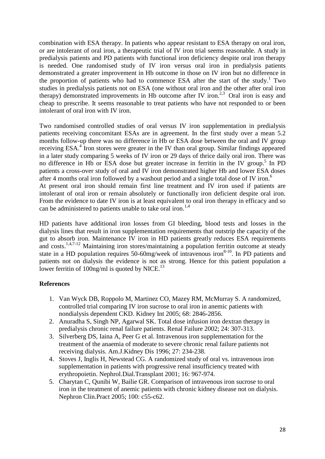combination with ESA therapy. In patients who appear resistant to ESA therapy on oral iron, or are intolerant of oral iron, a therapeutic trial of IV iron trial seems reasonable. A study in predialysis patients and PD patients with functional iron deficiency despite oral iron therapy is needed. One randomised study of IV iron versus oral iron in predialysis patients demonstrated a greater improvement in Hb outcome in those on IV iron but no difference in the proportion of patients who had to commence ESA after the start of the study. 1 Two studies in predialysis patients not on ESA (one without oral iron and the other after oral iron therapy) demonstrated improvements in Hb outcome after IV iron.<sup>2,3</sup> Oral iron is easy and cheap to prescribe. It seems reasonable to treat patients who have not responded to or been intolerant of oral iron with IV iron.

Two randomised controlled studies of oral versus IV iron supplementation in predialysis patients receiving concomitant ESAs are in agreement. In the first study over a mean 5.2 months follow-up there was no difference in Hb or ESA dose between the oral and IV group receiving ESA.<sup>4</sup> Iron stores were greater in the IV than oral group. Similar findings appeared in a later study comparing 5 weeks of IV iron or 29 days of thrice daily oral iron. There was no difference in Hb or ESA dose but greater increase in ferritin in the IV group.<sup>5</sup> In PD patients a cross-over study of oral and IV iron demonstrated higher Hb and lower ESA doses after 4 months oral iron followed by a washout period and a single total dose of IV iron.<sup>6</sup> At present oral iron should remain first line treatment and IV iron used if patients are

intolerant of oral iron or remain absolutely or functionally iron deficient despite oral iron. From the evidence to date IV iron is at least equivalent to oral iron therapy in efficacy and so can be administered to patients unable to take oral iron.<sup>1,4</sup>

HD patients have additional iron losses from GI bleeding, blood tests and losses in the dialysis lines that result in iron supplementation requirements that outstrip the capacity of the gut to absorb iron. Maintenance IV iron in HD patients greatly reduces ESA requirements and costs.<sup>1,4,7-12</sup> Maintaining iron stores/maintaining a population ferritin outcome at steady state in a HD population requires  $50-60$ mg/week of intravenous iron $8-10$ . In PD patients and patients not on dialysis the evidence is not as strong. Hence for this patient population a lower ferritin of  $100$ ng/ml is quoted by NICE.<sup>13</sup>

## **References**

- 1. Van Wyck DB, Roppolo M, Martinez CO, Mazey RM, McMurray S. A randomized, controlled trial comparing IV iron sucrose to oral iron in anemic patients with nondialysis dependent CKD. Kidney Int 2005; 68: 2846-2856.
- 2. Anuradha S, Singh NP, Agarwal SK. Total dose infusion iron dextran therapy in predialysis chronic renal failure patients. Renal Failure 2002; 24: 307-313.
- 3. Silverberg DS, Iaina A, Peer G et al. Intravenous iron supplementation for the treatment of the anaemia of moderate to severe chronic renal failure patients not receiving dialysis. Am.J.Kidney Dis 1996; 27: 234-238.
- 4. Stoves J, Inglis H, Newstead CG. A randomized study of oral vs. intravenous iron supplementation in patients with progressive renal insufficiency treated with erythropoietin. Nephrol.Dial.Transplant 2001; 16: 967-974.
- 5. Charytan C, Qunibi W, Bailie GR. Comparison of intravenous iron sucrose to oral iron in the treatment of anemic patients with chronic kidney disease not on dialysis. Nephron Clin.Pract 2005; 100: c55-c62.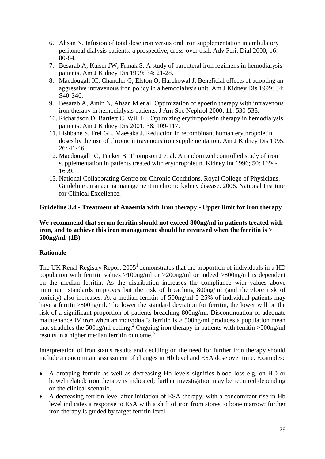- 6. Ahsan N. Infusion of total dose iron versus oral iron supplementation in ambulatory peritoneal dialysis patients: a prospective, cross-over trial. Adv Perit Dial 2000; 16: 80-84.
- 7. Besarab A, Kaiser JW, Frinak S. A study of parenteral iron regimens in hemodialysis patients. Am J Kidney Dis 1999; 34: 21-28.
- 8. Macdougall IC, Chandler G, Elston O, Harchowal J. Beneficial effects of adopting an aggressive intravenous iron policy in a hemodialysis unit. Am J Kidney Dis 1999; 34: S40-S46.
- 9. Besarab A, Amin N, Ahsan M et al. Optimization of epoetin therapy with intravenous iron therapy in hemodialysis patients. J Am Soc Nephrol 2000; 11: 530-538.
- 10. Richardson D, Bartlett C, Will EJ. Optimizing erythropoietin therapy in hemodialysis patients. Am J Kidney Dis 2001; 38: 109-117.
- 11. Fishbane S, Frei GL, Maesaka J. Reduction in recombinant human erythropoietin doses by the use of chronic intravenous iron supplementation. Am J Kidney Dis 1995; 26: 41-46.
- 12. Macdougall IC, Tucker B, Thompson J et al. A randomized controlled study of iron supplementation in patients treated with erythropoietin. Kidney Int 1996; 50: 1694- 1699.
- 13. National Collaborating Centre for Chronic Conditions, Royal College of Physicians. Guideline on anaemia management in chronic kidney disease. 2006. National Institute for Clinical Excellence.

## **Guideline 3.4 - Treatment of Anaemia with Iron therapy - Upper limit for iron therapy**

#### **We recommend that serum ferritin should not exceed 800ng/ml in patients treated with iron, and to achieve this iron management should be reviewed when the ferritin is > 500ng/ml. (1B)**

## **Rationale**

The UK Renal Registry Report  $2005<sup>1</sup>$  demonstrates that the proportion of individuals in a HD population with ferritin values >100ng/ml or >200ng/ml or indeed >800ng/ml is dependent on the median ferritin. As the distribution increases the compliance with values above minimum standards improves but the risk of breaching 800ng/ml (and therefore risk of toxicity) also increases. At a median ferritin of 500ng/ml 5-25% of individual patients may have a ferritin>800ng/ml. The lower the standard deviation for ferritin, the lower will be the risk of a significant proportion of patients breaching 800ng/ml. Discontinuation of adequate maintenance IV iron when an individual's ferritin is  $>$  500ng/ml produces a population mean that straddles the 500ng/ml ceiling. <sup>2</sup> Ongoing iron therapy in patients with ferritin >500ng/ml results in a higher median ferritin outcome. 3

Interpretation of iron status results and deciding on the need for further iron therapy should include a concomitant assessment of changes in Hb level and ESA dose over time. Examples:

- A dropping ferritin as well as decreasing Hb levels signifies blood loss e.g. on HD or bowel related: iron therapy is indicated; further investigation may be required depending on the clinical scenario.
- A decreasing ferritin level after initiation of ESA therapy, with a concomitant rise in Hb level indicates a response to ESA with a shift of iron from stores to bone marrow: further iron therapy is guided by target ferritin level.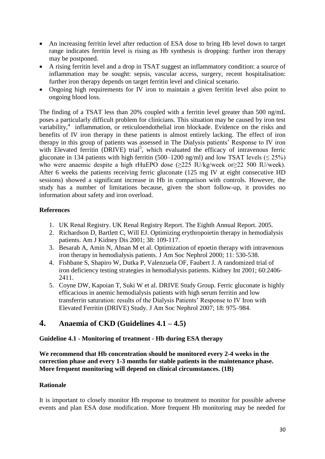- An increasing ferritin level after reduction of ESA dose to bring Hb level down to target range indicates ferritin level is rising as Hb synthesis is dropping: further iron therapy may be postponed.
- A rising ferritin level and a drop in TSAT suggest an inflammatory condition: a source of inflammation may be sought: sepsis, vascular access, surgery, recent hospitalisation: further iron therapy depends on target ferritin level and clinical scenario.
- Ongoing high requirements for IV iron to maintain a given ferritin level also point to ongoing blood loss.

The finding of a TSAT less than 20% coupled with a ferritin level greater than 500 ng/mL poses a particularly difficult problem for clinicians. This situation may be caused by iron test variability,<sup>4</sup>inflammation, or reticuloendothelial iron blockade. Evidence on the risks and benefits of IV iron therapy in these patients is almost entirely lacking. The effect of iron therapy in this group of patients was assessed in The Dialysis patients' Response to IV iron with E[l](http://www.kidney.org/professionals/kdoqi/guidelines_anemia/references.htm#ref157)evated ferritin (DRIVE) trial<sup>5</sup>, which evaluated the efficacy of intravenous ferric gluconate in 134 patients with high ferritin (500–1200 ng/ml) and low TSAT levels ( $\leq$  25%) who were anaemic despite a high rHuEPO dose (≥225 IU/kg/week or≥22 500 IU/week). After 6 weeks the patients receiving ferric gluconate (125 mg IV at eight consecutive HD sessions) showed a significant increase in Hb in comparison with controls. However, the study has a number of limitations because, given the short follow-up, it provides no information about safety and iron overload.

## **References**

- 1. UK Renal Registry. UK Renal Registry Report. The Eighth Annual Report. 2005.
- 2. Richardson D, Bartlett C, Will EJ. Optimizing erythropoietin therapy in hemodialysis patients. Am J Kidney Dis 2001; 38: 109-117.
- 3. Besarab A, Amin N, Ahsan M et al. Optimization of epoetin therapy with intravenous iron therapy in hemodialysis patients. J Am Soc Nephrol 2000; 11: 530-538.
- 4. Fishbane S, Shapiro W, Dutka P, Valenzuela OF, Faubert J. A randomized trial of iron deficiency testing strategies in hemodialysis patients. [Kidney Int 2001; 60:2406-](http://www.ncbi.nlm.nih.gov/entrez/query.fcgi?db=pubmed&cmd=Retrieve&dopt=Abstract&list_uids=11737617&query_hl=196&itool=pubmed_docsum) [2411.](http://www.ncbi.nlm.nih.gov/entrez/query.fcgi?db=pubmed&cmd=Retrieve&dopt=Abstract&list_uids=11737617&query_hl=196&itool=pubmed_docsum)
- 5. Coyne DW, Kapoian T, Suki W et al. DRIVE Study Group. Ferric gluconate is highly efficacious in anemic hemodialysis patients with high serum ferritin and low transferrin saturation: results of the Dialysis Patients' Response to IV Iron with Elevated Ferritin (DRIVE) Study. J Am Soc Nephrol 2007; 18: 975–984.

# **4. Anaemia of CKD (Guidelines 4.1 – 4.5)**

## **Guideline 4.1 - Monitoring of treatment - Hb during ESA therapy**

**We recommend that Hb concentration should be monitored every 2-4 weeks in the correction phase and every 1-3 months for stable patients in the maintenance phase. More frequent monitoring will depend on clinical circumstances. (1B)**

## **Rationale**

It is important to closely monitor Hb response to treatment to monitor for possible adverse events and plan ESA dose modification. More frequent Hb monitoring may be needed for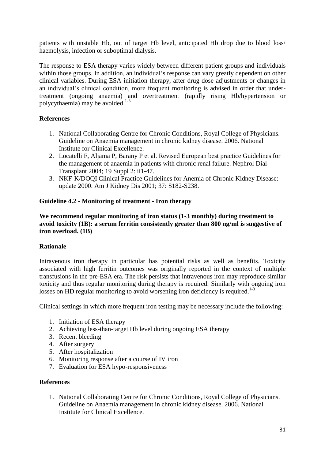patients with unstable Hb, out of target Hb level, anticipated Hb drop due to blood loss/ haemolysis, infection or suboptimal dialysis.

The response to ESA therapy varies widely between different patient groups and individuals within those groups. In addition, an individual's response can vary greatly dependent on other clinical variables. During ESA initiation therapy, after drug dose adjustments or changes in an individual's clinical condition, more frequent monitoring is advised in order that undertreatment (ongoing anaemia) and overtreatment (rapidly rising Hb/hypertension or polycythaemia) may be avoided. 1-3

## **References**

- 1. National Collaborating Centre for Chronic Conditions, Royal College of Physicians. Guideline on Anaemia management in chronic kidney disease. 2006. National Institute for Clinical Excellence.
- 2. Locatelli F, Aljama P, Barany P et al. Revised European best practice Guidelines for the management of anaemia in patients with chronic renal failure. Nephrol Dial Transplant 2004; 19 Suppl 2: ii1-47.
- 3. NKF-K/DOQI Clinical Practice Guidelines for Anemia of Chronic Kidney Disease: update 2000. Am J Kidney Dis 2001; 37: S182-S238.

## **Guideline 4.2 - Monitoring of treatment - Iron therapy**

**We recommend regular monitoring of iron status (1-3 monthly) during treatment to avoid toxicity (1B): a serum ferritin consistently greater than 800 ng/ml is suggestive of iron overload. (1B)**

## **Rationale**

Intravenous iron therapy in particular has potential risks as well as benefits. Toxicity associated with high ferritin outcomes was originally reported in the context of multiple transfusions in the pre-ESA era. The risk persists that intravenous iron may reproduce similar toxicity and thus regular monitoring during therapy is required. Similarly with ongoing iron losses on HD regular monitoring to avoid worsening iron deficiency is required.<sup>1-3</sup>

Clinical settings in which more frequent iron testing may be necessary include the following:

- 1. Initiation of ESA therapy
- 2. Achieving less-than-target Hb level during ongoing ESA therapy
- 3. Recent bleeding
- 4. After surgery
- 5. After hospitalization
- 6. Monitoring response after a course of IV iron
- 7. Evaluation for ESA hypo-responsiveness

#### **References**

1. National Collaborating Centre for Chronic Conditions, Royal College of Physicians. Guideline on Anaemia management in chronic kidney disease. 2006. National Institute for Clinical Excellence.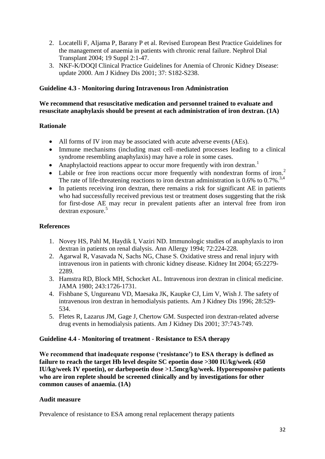- 2. Locatelli F, Aljama P, Barany P et al. Revised European Best Practice Guidelines for the management of anaemia in patients with chronic renal failure. Nephrol Dial Transplant 2004; 19 Suppl 2:1-47.
- 3. NKF-K/DOQI Clinical Practice Guidelines for Anemia of Chronic Kidney Disease: update 2000. Am J Kidney Dis 2001; 37: S182-S238.

## **Guideline 4.3 - Monitoring during Intravenous Iron Administration**

### **We recommend that resuscitative medication and personnel trained to evaluate and resuscitate anaphylaxis should be present at each administration of iron dextran. (1A)**

## **Rationale**

- All forms of IV iron may be associated with acute adverse events (AEs).
- Immune mechanisms (including mast cell–mediated processes leading to a clinical syndrome resembling anaphylaxis) may have a role in some cases.
- Anaphylactoid reactions appear to occur more frequently with iron dextran.<sup>1</sup>
- Labile or free iron reactions occur more frequently with nondextran forms of iron.<sup>2</sup> The rate of life-threatening reactions to iron dextran administration is 0.6% to 0.7%.<sup>3,4</sup>
- In patients receiving iron dextran, there remains a risk for significant AE in patients who had successfully received previous test or treatment doses suggesting that the risk for first-dose AE may recur in prevalent patients after an interval free from iron dextran exposure.<sup>5</sup>

#### **References**

- 1. Novey HS, Pahl M, Haydik I, Vaziri ND. Immunologic studies of anaphylaxis to iron dextran in patients on renal dialysis. [Ann Allergy 1994; 72:224-228.](http://www.ncbi.nlm.nih.gov/entrez/query.fcgi?db=pubmed&cmd=Retrieve&dopt=Abstract&list_uids=7510461&query_hl=232&itool=pubmed_docsum)
- 2. Agarwal R, Vasavada N, Sachs NG, Chase S. Oxidative stress and renal injury with intravenous iron in patients with chronic kidney disease. [Kidney Int 2004; 65:2279-](http://www.ncbi.nlm.nih.gov/entrez/query.fcgi?db=pubmed&cmd=Retrieve&dopt=Abstract&list_uids=15149341&query_hl=235&itool=pubmed_docsum) [2289.](http://www.ncbi.nlm.nih.gov/entrez/query.fcgi?db=pubmed&cmd=Retrieve&dopt=Abstract&list_uids=15149341&query_hl=235&itool=pubmed_docsum)
- 3. Hamstra RD, Block MH, Schocket AL. Intravenous iron dextran in clinical medicine. [JAMA 1980; 243:1726-1731.](http://www.ncbi.nlm.nih.gov/entrez/query.fcgi?db=pubmed&cmd=Retrieve&dopt=Abstract&list_uids=6154155&query_hl=244&itool=pubmed_docsum)
- 4. Fishbane S, Ungureanu VD, Maesaka JK, Kaupke CJ, Lim V, Wish J. The safety of intravenous iron dextran in hemodialysis patients. [Am J Kidney Dis 1996; 28:529-](http://www.ncbi.nlm.nih.gov/entrez/query.fcgi?db=pubmed&cmd=Retrieve&dopt=Abstract&list_uids=8840942&query_hl=247&itool=pubmed_docsum) [534.](http://www.ncbi.nlm.nih.gov/entrez/query.fcgi?db=pubmed&cmd=Retrieve&dopt=Abstract&list_uids=8840942&query_hl=247&itool=pubmed_docsum)
- 5. Fletes R, Lazarus JM, Gage J, Chertow GM. Suspected iron dextran-related adverse drug events in hemodialysis patients. [Am J Kidney Dis 2001; 37:743-749.](http://www.ncbi.nlm.nih.gov/entrez/query.fcgi?db=pubmed&cmd=Retrieve&dopt=Abstract&list_uids=11273874&query_hl=241&itool=pubmed_docsum)

#### **Guideline 4.4 - Monitoring of treatment** - **Resistance to ESA therapy**

**We recommend that inadequate response ('resistance') to ESA therapy is defined as failure to reach the target Hb level despite SC epoetin dose >300 IU/kg/week (450 IU/kg/week IV epoetin), or darbepoetin dose >1.5mcg/kg/week. Hyporesponsive patients who are iron replete should be screened clinically and by investigations for other common causes of anaemia. (1A)**

#### **Audit measure**

Prevalence of resistance to ESA among renal replacement therapy patients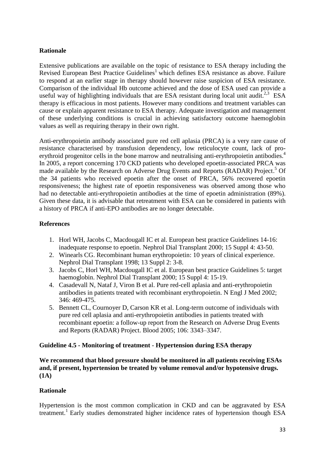### **Rationale**

Extensive publications are available on the topic of resistance to ESA therapy including the Revised European Best Practice Guidelines<sup>1</sup> which defines ESA resistance as above. Failure to respond at an earlier stage in therapy should however raise suspicion of ESA resistance. Comparison of the individual Hb outcome achieved and the dose of ESA used can provide a useful way of highlighting individuals that are ESA resistant during local unit audit.<sup>2,3</sup> ESA therapy is efficacious in most patients. However many conditions and treatment variables can cause or explain apparent resistance to ESA therapy. Adequate investigation and management of these underlying conditions is crucial in achieving satisfactory outcome haemoglobin values as well as requiring therapy in their own right.

Anti-erythropoietin antibody associated pure red cell aplasia (PRCA) is a very rare cause of resistance characterised by transfusion dependency, low reticulocyte count, lack of proerythroid progenitor cells in the bone marrow and neutralising anti-erythropoietin antibodies.<sup>4</sup> In 2005, a report concerning 170 CKD patients who developed epoetin-associated PRCA was made available by the Research on Adverse Drug Events and Reports (RADAR) Project. <sup>5</sup> Of the 34 patients who received epoetin after the onset of PRCA, 56% recovered epoetin responsiveness; the highest rate of epoetin responsiveness was observed among those who had no detectable anti-erythropoietin antibodies at the time of epoetin administration (89%). Given these data, it is advisable that retreatment with ESA can be considered in patients with a history of PRCA if anti-EPO antibodies are no longer detectable.

#### **References**

- 1. Horl WH, Jacobs C, Macdougall IC et al. European best practice Guidelines 14-16: inadequate response to epoetin. Nephrol Dial Transplant 2000; 15 Suppl 4: 43-50.
- 2. Winearls CG. Recombinant human erythropoietin: 10 years of clinical experience. Nephrol Dial Transplant 1998; 13 Suppl 2: 3-8.
- 3. Jacobs C, Horl WH, Macdougall IC et al. European best practice Guidelines 5: target haemoglobin. Nephrol Dial Transplant 2000; 15 Suppl 4: 15-19.
- 4. Casadevall N, Nataf J, Viron B et al. Pure red-cell aplasia and anti-erythropoietin antibodies in patients treated with recombinant erythropoietin. N Engl J Med 2002; 346: 469-475.
- 5. Bennett CL, Cournoyer D, Carson KR et al. Long-term outcome of individuals with pure red cell aplasia and anti-erythropoietin antibodies in patients treated with recombinant epoetin: a follow-up report from the Research on Adverse Drug Events and Reports (RADAR) Project. Blood 2005; 106: 3343–3347.

#### **Guideline 4.5 - Monitoring of treatment** - **Hypertension during ESA therapy**

**We recommend that blood pressure should be monitored in all patients receiving ESAs and, if present, hypertension be treated by volume removal and/or hypotensive drugs. (1A)**

#### **Rationale**

Hypertension is the most common complication in CKD and can be aggravated by ESA treatment. 1 Early studies demonstrated higher incidence rates of hypertension though ESA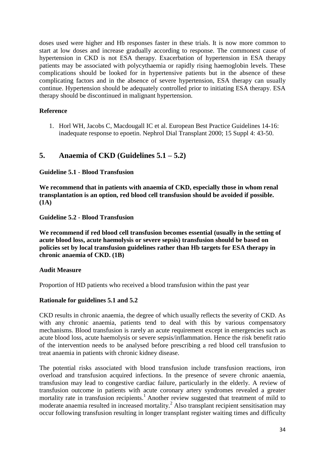doses used were higher and Hb responses faster in these trials. It is now more common to start at low doses and increase gradually according to response. The commonest cause of hypertension in CKD is not ESA therapy. Exacerbation of hypertension in ESA therapy patients may be associated with polycythaemia or rapidly rising haemoglobin levels. These complications should be looked for in hypertensive patients but in the absence of these complicating factors and in the absence of severe hypertension, ESA therapy can usually continue. Hypertension should be adequately controlled prior to initiating ESA therapy. ESA therapy should be discontinued in malignant hypertension.

## **Reference**

1. Horl WH, Jacobs C, Macdougall IC et al. European Best Practice Guidelines 14-16: inadequate response to epoetin. Nephrol Dial Transplant 2000; 15 Suppl 4: 43-50.

## **5. Anaemia of CKD (Guidelines 5.1 – 5.2)**

#### **Guideline 5.1** - **Blood Transfusion**

**We recommend that in patients with anaemia of CKD, especially those in whom renal transplantation is an option, red blood cell transfusion should be avoided if possible. (1A)**

**Guideline 5.2** - **Blood Transfusion**

**We recommend if red blood cell transfusion becomes essential (usually in the setting of acute blood loss, acute haemolysis or severe sepsis) transfusion should be based on policies set by local transfusion guidelines rather than Hb targets for ESA therapy in chronic anaemia of CKD. (1B)**

#### **Audit Measure**

Proportion of HD patients who received a blood transfusion within the past year

## **Rationale for guidelines 5.1 and 5.2**

CKD results in chronic anaemia, the degree of which usually reflects the severity of CKD. As with any chronic anaemia, patients tend to deal with this by various compensatory mechanisms. Blood transfusion is rarely an acute requirement except in emergencies such as acute blood loss, acute haemolysis or severe sepsis/inflammation. Hence the risk benefit ratio of the intervention needs to be analysed before prescribing a red blood cell transfusion to treat anaemia in patients with chronic kidney disease.

The potential risks associated with blood transfusion include transfusion reactions, iron overload and transfusion acquired infections. In the presence of severe chronic anaemia, transfusion may lead to congestive cardiac failure, particularly in the elderly. A review of transfusion outcome in patients with acute coronary artery syndromes revealed a greater mortality rate in transfusion recipients.<sup>1</sup> Another review suggested that treatment of mild to moderate anaemia resulted in increased mortality.<sup>2</sup> Also transplant recipient sensitisation may occur following transfusion resulting in longer transplant register waiting times and difficulty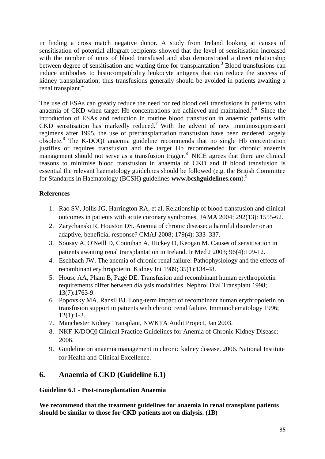in finding a cross match negative donor. A study from Ireland looking at causes of sensitisation of potential allograft recipients showed that the level of sensitisation increased with the number of units of blood transfused and also demonstrated a direct relationship between degree of sensitisation and waiting time for transplantation.<sup>3</sup> Blood transfusions can induce antibodies to histocompatibility leukocyte antigens that can reduce the success of kidney transplantation; thus transfusions generally should be avoided in patients awaiting a renal transplant.<sup>4</sup>

The use of ESAs can greatly reduce the need for red blood cell transfusions in patients with anaemia of CKD when target Hb concentrations are achieved and maintained. $5-6$  Since the introduction of ESAs and reduction in routine blood transfusion in anaemic patients with  $CKD$  sensitisation has markedly reduced.<sup>7</sup> With the advent of new immunosuppressant regimens after 1995, the use of pretransplantation transfusion have been rendered largely obsolete. 8 The K-DOQI anaemia guideline recommends that no single Hb concentration justifies or requires transfusion and the target Hb recommended for chronic anaemia management should not serve as a transfusion trigger.<sup>8</sup> NICE agrees that there are clinical reasons to minimise blood transfusion in anaemia of CKD and if blood transfusion is essential the relevant haematology guidelines should be followed (e.g. the British Committee for Standards in Haematology (BCSH) guidelines **www.bcshguidelines.com**).<sup>9</sup>

## **References**

- 1. Rao SV, Jollis JG, Harrington RA, et al. Relationship of blood transfusion and clinical outcomes in patients with acute coronary syndromes. [JAMA](javascript:AL_get(this,%20) 2004; 292(13): 1555-62.
- 2. Zarychanski R, Houston DS. Anemia of chronic disease: a harmful disorder or an adaptive, beneficial response? CMAJ 2008; 179(4): 333–337.
- 3. [Soosay A,](http://www.ncbi.nlm.nih.gov/pubmed?term=%22Soosay%20A%22%5BAuthor%5D&itool=EntrezSystem2.PEntrez.Pubmed.Pubmed_ResultsPanel.Pubmed_RVAbstract) [O'Neill D,](http://www.ncbi.nlm.nih.gov/pubmed?term=%22O) [Counihan A,](http://www.ncbi.nlm.nih.gov/pubmed?term=%22Counihan%20A%22%5BAuthor%5D&itool=EntrezSystem2.PEntrez.Pubmed.Pubmed_ResultsPanel.Pubmed_RVAbstract) [Hickey D,](http://www.ncbi.nlm.nih.gov/pubmed?term=%22Hickey%20D%22%5BAuthor%5D&itool=EntrezSystem2.PEntrez.Pubmed.Pubmed_ResultsPanel.Pubmed_RVAbstract) [Keogan M.](http://www.ncbi.nlm.nih.gov/pubmed?term=%22Keogan%20M%22%5BAuthor%5D&itool=EntrezSystem2.PEntrez.Pubmed.Pubmed_ResultsPanel.Pubmed_RVAbstract) Causes of sensitisation in patients awaiting renal transplantation in Ireland. [Ir Med J](javascript:AL_get(this,%20) 2003; 96(4):109-12.
- 4. Eschbach JW. The anemia of chronic renal failure: Pathophysiology and the effects of recombinant erythropoietin. Kidney Int 1989; 35(1):134-48.
- 5. [House AA,](http://www.ncbi.nlm.nih.gov/pubmed?term=%22House%20AA%22%5BAuthor%5D&itool=EntrezSystem2.PEntrez.Pubmed.Pubmed_ResultsPanel.Pubmed_RVAbstract) [Pham B,](http://www.ncbi.nlm.nih.gov/pubmed?term=%22Pham%20B%22%5BAuthor%5D&itool=EntrezSystem2.PEntrez.Pubmed.Pubmed_ResultsPanel.Pubmed_RVAbstract) [Pagé DE.](http://www.ncbi.nlm.nih.gov/pubmed?term=%22Pag%C3%A9%20DE%22%5BAuthor%5D&itool=EntrezSystem2.PEntrez.Pubmed.Pubmed_ResultsPanel.Pubmed_RVAbstract) Transfusion and recombinant human erythropoietin requirements differ between dialysis modalities. [Nephrol Dial Transplant](javascript:AL_get(this,%20) 1998; 13(7):1763-9.
- 6. Popovsky MA, Ransil BJ. Long-term impact of recombinant human erythropoietin on transfusion support in patients with chronic renal failure. [Immunohematology](javascript:AL_get(this,%20) 1996;  $12(1):1-3.$
- 7. Manchester Kidney Transplant, NWKTA Audit Project, Jan 2003.
- 8. NKF-K/DOQI Clinical Practice Guidelines for Anemia of Chronic Kidney Disease: 2006.
- 9. Guideline on anaemia management in chronic kidney disease. 2006. National Institute for Health and Clinical Excellence.

# **6. Anaemia of CKD (Guideline 6.1)**

**Guideline 6.1** - **Post-transplantation Anaemia**

**We recommend that the treatment guidelines for anaemia in renal transplant patients should be similar to those for CKD patients not on dialysis. (1B)**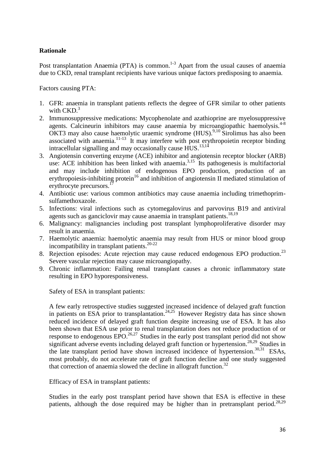#### **Rationale**

Post transplantation Anaemia (PTA) is common.<sup>1-3</sup> Apart from the usual causes of anaemia due to CKD, renal transplant recipients have various unique factors predisposing to anaemia.

Factors causing PTA:

- 1. GFR: anaemia in transplant patients reflects the degree of GFR similar to other patients with  $\text{CKD}$ .<sup>3</sup>
- 2. Immunosuppressive medications: Mycophenolate and azathioprine are myelosuppressive agents. Calcineurin inhibitors may cause anaemia by microangiopathic haemolysis. $4-8$ OKT3 may also cause haemolytic uraemic syndrome (HUS). 9,10 Sirolimus has also been associated with anaemia.<sup>11-13</sup> It may interfere with post erythropoietin receptor binding intracellular signalling and may occasionally cause HUS.<sup>13,14</sup>
- 3. Angiotensin converting enzyme (ACE) inhibitor and angiotensin receptor blocker (ARB) use: ACE inhibition has been linked with anaemia.<sup>3,15</sup> Its pathogenesis is multifactorial and may include inhibition of endogenous EPO production, production of an erythropoiesis-inhibiting protein<sup>16</sup> and inhibition of angiotensin II mediated stimulation of erythrocyte precursors.<sup>17</sup>
- 4. Antibiotic use: various common antibiotics may cause anaemia including trimethoprimsulfamethoxazole.
- 5. Infections: viral infections such as cytomegalovirus and parvovirus B19 and antiviral agents such as ganciclovir may cause anaemia in transplant patients.<sup>18,19</sup>
- 6. Malignancy: malignancies including post transplant lymphoproliferative disorder may result in anaemia.
- 7. Haemolytic anaemia: haemolytic anaemia may result from HUS or minor blood group incompatibility in transplant patients. 20-22
- 8. Rejection episodes: Acute rejection may cause reduced endogenous EPO production.<sup>23</sup> Severe vascular rejection may cause microangiopathy.
- 9. Chronic inflammation: Failing renal transplant causes a chronic inflammatory state resulting in EPO hyporesponsiveness.

Safety of ESA in transplant patients:

A few early retrospective studies suggested increased incidence of delayed graft function in patients on ESA prior to transplantation.<sup>24,25</sup> However Registry data has since shown reduced incidence of delayed graft function despite increasing use of ESA. It has also been shown that ESA use prior to renal transplantation does not reduce production of or response to endogenous  $EPO.<sup>26,27</sup>$  Studies in the early post transplant period did not show significant adverse events including delayed graft function or hypertension.<sup>28,29</sup> Studies in the late transplant period have shown increased incidence of hypertension. 30,31 ESAs, most probably, do not accelerate rate of graft function decline and one study suggested that correction of anaemia slowed the decline in allograft function.<sup>32</sup>

Efficacy of ESA in transplant patients:

Studies in the early post transplant period have shown that ESA is effective in these patients, although the dose required may be higher than in pretransplant period.<sup>28,29</sup>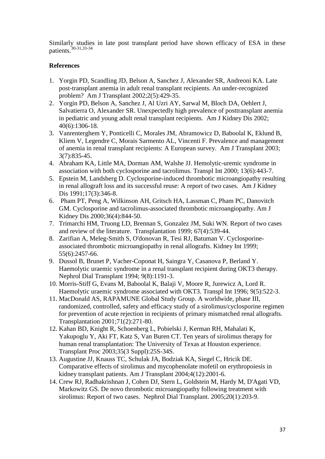Similarly studies in late post transplant period have shown efficacy of ESA in these patients. 30-31,33-34

## **References**

- 1. [Yorgin PD,](http://www.ncbi.nlm.nih.gov/pubmed?term=%22Yorgin%20PD%22%5BAuthor%5D&itool=EntrezSystem2.PEntrez.Pubmed.Pubmed_ResultsPanel.Pubmed_RVAbstract) [Scandling JD,](http://www.ncbi.nlm.nih.gov/pubmed?term=%22Scandling%20JD%22%5BAuthor%5D&itool=EntrezSystem2.PEntrez.Pubmed.Pubmed_ResultsPanel.Pubmed_RVAbstract) [Belson A,](http://www.ncbi.nlm.nih.gov/pubmed?term=%22Belson%20A%22%5BAuthor%5D&itool=EntrezSystem2.PEntrez.Pubmed.Pubmed_ResultsPanel.Pubmed_RVAbstract) [Sanchez J,](http://www.ncbi.nlm.nih.gov/pubmed?term=%22Sanchez%20J%22%5BAuthor%5D&itool=EntrezSystem2.PEntrez.Pubmed.Pubmed_ResultsPanel.Pubmed_RVAbstract) [Alexander SR,](http://www.ncbi.nlm.nih.gov/pubmed?term=%22Alexander%20SR%22%5BAuthor%5D&itool=EntrezSystem2.PEntrez.Pubmed.Pubmed_ResultsPanel.Pubmed_RVAbstract) [Andreoni KA.](http://www.ncbi.nlm.nih.gov/pubmed?term=%22Andreoni%20KA%22%5BAuthor%5D&itool=EntrezSystem2.PEntrez.Pubmed.Pubmed_ResultsPanel.Pubmed_RVAbstract) Late post-transplant anemia in adult renal transplant recipients. An under-recognized problem? [Am J Transplant](javascript:AL_get(this,%20) 2002;2(5):429-35.
- 2. [Yorgin PD,](http://www.ncbi.nlm.nih.gov/pubmed?term=%22Yorgin%20PD%22%5BAuthor%5D&itool=EntrezSystem2.PEntrez.Pubmed.Pubmed_ResultsPanel.Pubmed_RVAbstract) [Belson A,](http://www.ncbi.nlm.nih.gov/pubmed?term=%22Belson%20A%22%5BAuthor%5D&itool=EntrezSystem2.PEntrez.Pubmed.Pubmed_ResultsPanel.Pubmed_RVAbstract) [Sanchez J,](http://www.ncbi.nlm.nih.gov/pubmed?term=%22Sanchez%20J%22%5BAuthor%5D&itool=EntrezSystem2.PEntrez.Pubmed.Pubmed_ResultsPanel.Pubmed_RVAbstract) [Al Uzri AY,](http://www.ncbi.nlm.nih.gov/pubmed?term=%22Al%20Uzri%20AY%22%5BAuthor%5D&itool=EntrezSystem2.PEntrez.Pubmed.Pubmed_ResultsPanel.Pubmed_RVAbstract) [Sarwal M,](http://www.ncbi.nlm.nih.gov/pubmed?term=%22Sarwal%20M%22%5BAuthor%5D&itool=EntrezSystem2.PEntrez.Pubmed.Pubmed_ResultsPanel.Pubmed_RVAbstract) [Bloch DA,](http://www.ncbi.nlm.nih.gov/pubmed?term=%22Bloch%20DA%22%5BAuthor%5D&itool=EntrezSystem2.PEntrez.Pubmed.Pubmed_ResultsPanel.Pubmed_RVAbstract) [Oehlert J,](http://www.ncbi.nlm.nih.gov/pubmed?term=%22Oehlert%20J%22%5BAuthor%5D&itool=EntrezSystem2.PEntrez.Pubmed.Pubmed_ResultsPanel.Pubmed_RVAbstract) [Salvatierra O,](http://www.ncbi.nlm.nih.gov/pubmed?term=%22Salvatierra%20O%22%5BAuthor%5D&itool=EntrezSystem2.PEntrez.Pubmed.Pubmed_ResultsPanel.Pubmed_RVAbstract) [Alexander SR.](http://www.ncbi.nlm.nih.gov/pubmed?term=%22Alexander%20SR%22%5BAuthor%5D&itool=EntrezSystem2.PEntrez.Pubmed.Pubmed_ResultsPanel.Pubmed_RVAbstract) Unexpectedly high prevalence of posttransplant anemia in pediatric and young adult renal transplant recipients. [Am J Kidney Dis](javascript:AL_get(this,%20) 2002; 40(6):1306-18.
- 3. [Vanrenterghem Y,](http://www.ncbi.nlm.nih.gov/pubmed?term=%22Vanrenterghem%20Y%22%5BAuthor%5D&itool=EntrezSystem2.PEntrez.Pubmed.Pubmed_ResultsPanel.Pubmed_RVAbstract) [Ponticelli C,](http://www.ncbi.nlm.nih.gov/pubmed?term=%22Ponticelli%20C%22%5BAuthor%5D&itool=EntrezSystem2.PEntrez.Pubmed.Pubmed_ResultsPanel.Pubmed_RVAbstract) [Morales JM,](http://www.ncbi.nlm.nih.gov/pubmed?term=%22Morales%20JM%22%5BAuthor%5D&itool=EntrezSystem2.PEntrez.Pubmed.Pubmed_ResultsPanel.Pubmed_RVAbstract) [Abramowicz D,](http://www.ncbi.nlm.nih.gov/pubmed?term=%22Abramowicz%20D%22%5BAuthor%5D&itool=EntrezSystem2.PEntrez.Pubmed.Pubmed_ResultsPanel.Pubmed_RVAbstract) [Baboolal K,](http://www.ncbi.nlm.nih.gov/pubmed?term=%22Baboolal%20K%22%5BAuthor%5D&itool=EntrezSystem2.PEntrez.Pubmed.Pubmed_ResultsPanel.Pubmed_RVAbstract) [Eklund B,](http://www.ncbi.nlm.nih.gov/pubmed?term=%22Eklund%20B%22%5BAuthor%5D&itool=EntrezSystem2.PEntrez.Pubmed.Pubmed_ResultsPanel.Pubmed_RVAbstract) [Kliem V,](http://www.ncbi.nlm.nih.gov/pubmed?term=%22Kliem%20V%22%5BAuthor%5D&itool=EntrezSystem2.PEntrez.Pubmed.Pubmed_ResultsPanel.Pubmed_RVAbstract) [Legendre C,](http://www.ncbi.nlm.nih.gov/pubmed?term=%22Legendre%20C%22%5BAuthor%5D&itool=EntrezSystem2.PEntrez.Pubmed.Pubmed_ResultsPanel.Pubmed_RVAbstract) [Morais Sarmento AL,](http://www.ncbi.nlm.nih.gov/pubmed?term=%22Morais%20Sarmento%20AL%22%5BAuthor%5D&itool=EntrezSystem2.PEntrez.Pubmed.Pubmed_ResultsPanel.Pubmed_RVAbstract) [Vincenti F.](http://www.ncbi.nlm.nih.gov/pubmed?term=%22Vincenti%20F%22%5BAuthor%5D&itool=EntrezSystem2.PEntrez.Pubmed.Pubmed_ResultsPanel.Pubmed_RVAbstract) Prevalence and management of anemia in renal transplant recipients: A European survey. [Am J Transplant](http://www.ncbi.nlm.nih.gov/entrez/query.fcgi?db=pubmed&cmd=Retrieve&dopt=Abstract&list_uids=12814475&query_hl=637&itool=pubmed_docsum) 2003; [3\(7\):835-45.](http://www.ncbi.nlm.nih.gov/entrez/query.fcgi?db=pubmed&cmd=Retrieve&dopt=Abstract&list_uids=12814475&query_hl=637&itool=pubmed_docsum)
- 4. [Abraham KA,](http://www.ncbi.nlm.nih.gov/pubmed?term=%22Abraham%20KA%22%5BAuthor%5D&itool=EntrezSystem2.PEntrez.Pubmed.Pubmed_ResultsPanel.Pubmed_RVAbstract) [Little MA,](http://www.ncbi.nlm.nih.gov/pubmed?term=%22Little%20MA%22%5BAuthor%5D&itool=EntrezSystem2.PEntrez.Pubmed.Pubmed_ResultsPanel.Pubmed_RVAbstract) [Dorman AM,](http://www.ncbi.nlm.nih.gov/pubmed?term=%22Dorman%20AM%22%5BAuthor%5D&itool=EntrezSystem2.PEntrez.Pubmed.Pubmed_ResultsPanel.Pubmed_RVAbstract) [Walshe JJ.](http://www.ncbi.nlm.nih.gov/pubmed?term=%22Walshe%20JJ%22%5BAuthor%5D&itool=EntrezSystem2.PEntrez.Pubmed.Pubmed_ResultsPanel.Pubmed_RVAbstract) Hemolytic-uremic syndrome in [association with both cyclosporine and tacrolimus. Transpl Int](http://www.ncbi.nlm.nih.gov/entrez/query.fcgi?db=pubmed&cmd=Retrieve&dopt=Abstract&list_uids=12814475&query_hl=637&itool=pubmed_docsum) 2000; 13(6):443-7.
- 5. [Epstein M,](http://www.ncbi.nlm.nih.gov/entrez/query.fcgi?db=pubmed&cmd=Retrieve&dopt=Abstract&list_uids=12814475&query_hl=637&itool=pubmed_docsum) [Landsberg D.](http://www.ncbi.nlm.nih.gov/pubmed?term=%22Landsberg%20D%22%5BAuthor%5D&itool=EntrezSystem2.PEntrez.Pubmed.Pubmed_ResultsPanel.Pubmed_RVAbstract) Cyclosporine-induced thrombotic microangiopathy resulting [in renal allograft loss and its successful reuse: A report of two cases. Am J Kidney](http://www.ncbi.nlm.nih.gov/entrez/query.fcgi?db=pubmed&cmd=Retrieve&dopt=Abstract&list_uids=12814475&query_hl=637&itool=pubmed_docsum)  [Dis](http://www.ncbi.nlm.nih.gov/entrez/query.fcgi?db=pubmed&cmd=Retrieve&dopt=Abstract&list_uids=12814475&query_hl=637&itool=pubmed_docsum) 1991;17(3):346-8.
- 6. [Pham PT, Peng A, Wilkinson AH, Gritsch HA, Lassman C, Pham PC, Danovitch](http://www.ncbi.nlm.nih.gov/entrez/query.fcgi?db=pubmed&cmd=Retrieve&dopt=Abstract&list_uids=1996580&query_hl=670&itool=pubmed_docsum)  [GM.](http://www.ncbi.nlm.nih.gov/entrez/query.fcgi?db=pubmed&cmd=Retrieve&dopt=Abstract&list_uids=1996580&query_hl=670&itool=pubmed_docsum) Cyclosporine and tacrolimus-associated thrombotic microangiopathy. [Am J](javascript:AL_get(this,%20)  [Kidney Dis](javascript:AL_get(this,%20) 2000;36(4):844-50.
- 7. [Trimarchi HM,](http://www.ncbi.nlm.nih.gov/pubmed?term=%22Trimarchi%20HM%22%5BAuthor%5D&itool=EntrezSystem2.PEntrez.Pubmed.Pubmed_ResultsPanel.Pubmed_RVAbstract) [Truong LD,](http://www.ncbi.nlm.nih.gov/pubmed?term=%22Truong%20LD%22%5BAuthor%5D&itool=EntrezSystem2.PEntrez.Pubmed.Pubmed_ResultsPanel.Pubmed_RVAbstract) [Brennan S,](http://www.ncbi.nlm.nih.gov/pubmed?term=%22Brennan%20S%22%5BAuthor%5D&itool=EntrezSystem2.PEntrez.Pubmed.Pubmed_ResultsPanel.Pubmed_RVAbstract) [Gonzalez JM,](http://www.ncbi.nlm.nih.gov/pubmed?term=%22Gonzalez%20JM%22%5BAuthor%5D&itool=EntrezSystem2.PEntrez.Pubmed.Pubmed_ResultsPanel.Pubmed_RVAbstract) [Suki WN.](http://www.ncbi.nlm.nih.gov/pubmed?term=%22Suki%20WN%22%5BAuthor%5D&itool=EntrezSystem2.PEntrez.Pubmed.Pubmed_ResultsPanel.Pubmed_RVAbstract) Report of two cases [and review of the literature. Transplantation](http://www.ncbi.nlm.nih.gov/entrez/query.fcgi?db=pubmed&cmd=Retrieve&dopt=Abstract&list_uids=1996580&query_hl=670&itool=pubmed_docsum) 1999; 67(4):539-44.
- 8. [Zarifian A,](http://www.ncbi.nlm.nih.gov/entrez/query.fcgi?db=pubmed&cmd=Retrieve&dopt=Abstract&list_uids=1996580&query_hl=670&itool=pubmed_docsum) [Meleg-Smith S,](http://www.ncbi.nlm.nih.gov/pubmed?term=%22Meleg-Smith%20S%22%5BAuthor%5D&itool=EntrezSystem2.PEntrez.Pubmed.Pubmed_ResultsPanel.Pubmed_RVAbstract) [O'donovan R,](http://www.ncbi.nlm.nih.gov/pubmed?term=%22O) [Tesi RJ,](http://www.ncbi.nlm.nih.gov/pubmed?term=%22Tesi%20RJ%22%5BAuthor%5D&itool=EntrezSystem2.PEntrez.Pubmed.Pubmed_ResultsPanel.Pubmed_RVAbstract) [Batuman V.](http://www.ncbi.nlm.nih.gov/pubmed?term=%22Batuman%20V%22%5BAuthor%5D&itool=EntrezSystem2.PEntrez.Pubmed.Pubmed_ResultsPanel.Pubmed_RVAbstract) Cyclosporine[associated thrombotic microangiopathy in renal allografts. Kidney Int](http://www.ncbi.nlm.nih.gov/entrez/query.fcgi?db=pubmed&cmd=Retrieve&dopt=Abstract&list_uids=10071024&query_hl=676&itool=pubmed_docsum) 1999; [55\(6\):2457-66.](http://www.ncbi.nlm.nih.gov/entrez/query.fcgi?db=pubmed&cmd=Retrieve&dopt=Abstract&list_uids=10071024&query_hl=676&itool=pubmed_docsum)
- 9. [Dussol B,](http://www.ncbi.nlm.nih.gov/pubmed?term=%22Dussol%20B%22%5BAuthor%5D&itool=EntrezSystem2.PEntrez.Pubmed.Pubmed_ResultsPanel.Pubmed_RVAbstract) [Brunet P,](http://www.ncbi.nlm.nih.gov/pubmed?term=%22Brunet%20P%22%5BAuthor%5D&itool=EntrezSystem2.PEntrez.Pubmed.Pubmed_ResultsPanel.Pubmed_RVAbstract) [Vacher-Coponat H,](http://www.ncbi.nlm.nih.gov/pubmed?term=%22Vacher-Coponat%20H%22%5BAuthor%5D&itool=EntrezSystem2.PEntrez.Pubmed.Pubmed_ResultsPanel.Pubmed_RVAbstract) [Saingra Y,](http://www.ncbi.nlm.nih.gov/pubmed?term=%22Saingra%20Y%22%5BAuthor%5D&itool=EntrezSystem2.PEntrez.Pubmed.Pubmed_ResultsPanel.Pubmed_RVAbstract) [Casanova P,](http://www.ncbi.nlm.nih.gov/pubmed?term=%22Casanova%20P%22%5BAuthor%5D&itool=EntrezSystem2.PEntrez.Pubmed.Pubmed_ResultsPanel.Pubmed_RVAbstract) [Berland Y.](http://www.ncbi.nlm.nih.gov/pubmed?term=%22Berland%20Y%22%5BAuthor%5D&itool=EntrezSystem2.PEntrez.Pubmed.Pubmed_ResultsPanel.Pubmed_RVAbstract) [Haemolytic uraemic syndrome in a renal transplant recipient during OKT3 therapy.](http://www.ncbi.nlm.nih.gov/entrez/query.fcgi?db=pubmed&cmd=Retrieve&dopt=Abstract&list_uids=10071024&query_hl=676&itool=pubmed_docsum)  [Nephrol Dial Transplant](http://www.ncbi.nlm.nih.gov/entrez/query.fcgi?db=pubmed&cmd=Retrieve&dopt=Abstract&list_uids=10071024&query_hl=676&itool=pubmed_docsum) 1994; 9(8):1191-3.
- 10. [Morris-Stiff G,](http://www.ncbi.nlm.nih.gov/pubmed?term=%22Morris-Stiff%20G%22%5BAuthor%5D&itool=EntrezSystem2.PEntrez.Pubmed.Pubmed_ResultsPanel.Pubmed_RVAbstract) [Evans M,](http://www.ncbi.nlm.nih.gov/pubmed?term=%22Evans%20M%22%5BAuthor%5D&itool=EntrezSystem2.PEntrez.Pubmed.Pubmed_ResultsPanel.Pubmed_RVAbstract) [Baboolal K,](http://www.ncbi.nlm.nih.gov/pubmed?term=%22Baboolal%20K%22%5BAuthor%5D&itool=EntrezSystem2.PEntrez.Pubmed.Pubmed_ResultsPanel.Pubmed_RVAbstract) [Balaji V,](http://www.ncbi.nlm.nih.gov/pubmed?term=%22Balaji%20V%22%5BAuthor%5D&itool=EntrezSystem2.PEntrez.Pubmed.Pubmed_ResultsPanel.Pubmed_RVAbstract) [Moore R,](http://www.ncbi.nlm.nih.gov/pubmed?term=%22Moore%20R%22%5BAuthor%5D&itool=EntrezSystem2.PEntrez.Pubmed.Pubmed_ResultsPanel.Pubmed_RVAbstract) [Jurewicz A,](http://www.ncbi.nlm.nih.gov/pubmed?term=%22Jurewicz%20A%22%5BAuthor%5D&itool=EntrezSystem2.PEntrez.Pubmed.Pubmed_ResultsPanel.Pubmed_RVAbstract) [Lord R.](http://www.ncbi.nlm.nih.gov/pubmed?term=%22Lord%20R%22%5BAuthor%5D&itool=EntrezSystem2.PEntrez.Pubmed.Pubmed_ResultsPanel.Pubmed_RVAbstract) [Haemolytic uraemic syndrome associated with OKT3. Transpl Int](http://www.ncbi.nlm.nih.gov/entrez/query.fcgi?db=pubmed&cmd=Retrieve&dopt=Abstract&list_uids=10071024&query_hl=676&itool=pubmed_docsum) 1996; 9(5):522-3.
- 11. [MacDonald AS,](http://www.ncbi.nlm.nih.gov/entrez/query.fcgi?db=pubmed&cmd=Retrieve&dopt=Abstract&list_uids=10071024&query_hl=676&itool=pubmed_docsum) [RAPAMUNE Global Study Group.](http://www.ncbi.nlm.nih.gov/pubmed?term=%22RAPAMUNE%20Global%20Study%20Group%22%5BCorporate%20Author%5D&itool=EntrezSystem2.PEntrez.Pubmed.Pubmed_ResultsPanel.Pubmed_RVAbstract) A worldwide, phase III, [randomized, controlled, safety and efficacy study of a sirolimus/cyclosporine regimen](http://www.ncbi.nlm.nih.gov/entrez/query.fcgi?db=pubmed&cmd=Retrieve&dopt=Abstract&list_uids=10071024&query_hl=676&itool=pubmed_docsum)  [for prevention of acute rejection in recipients of primary mismatched renal allografts.](http://www.ncbi.nlm.nih.gov/entrez/query.fcgi?db=pubmed&cmd=Retrieve&dopt=Abstract&list_uids=10071024&query_hl=676&itool=pubmed_docsum)  [Transplantation](javascript:AL_get(this,%20) 2001;71(2):271-80.
- 12. [Kahan BD,](http://www.ncbi.nlm.nih.gov/pubmed?term=%22Kahan%20BD%22%5BAuthor%5D&itool=EntrezSystem2.PEntrez.Pubmed.Pubmed_ResultsPanel.Pubmed_RVAbstract) [Knight R,](http://www.ncbi.nlm.nih.gov/pubmed?term=%22Knight%20R%22%5BAuthor%5D&itool=EntrezSystem2.PEntrez.Pubmed.Pubmed_ResultsPanel.Pubmed_RVAbstract) [Schoenberg L,](http://www.ncbi.nlm.nih.gov/pubmed?term=%22Schoenberg%20L%22%5BAuthor%5D&itool=EntrezSystem2.PEntrez.Pubmed.Pubmed_ResultsPanel.Pubmed_RVAbstract) [Pobielski J,](http://www.ncbi.nlm.nih.gov/pubmed?term=%22Pobielski%20J%22%5BAuthor%5D&itool=EntrezSystem2.PEntrez.Pubmed.Pubmed_ResultsPanel.Pubmed_RVAbstract) [Kerman RH,](http://www.ncbi.nlm.nih.gov/pubmed?term=%22Kerman%20RH%22%5BAuthor%5D&itool=EntrezSystem2.PEntrez.Pubmed.Pubmed_ResultsPanel.Pubmed_RVAbstract) [Mahalati K,](http://www.ncbi.nlm.nih.gov/pubmed?term=%22Mahalati%20K%22%5BAuthor%5D&itool=EntrezSystem2.PEntrez.Pubmed.Pubmed_ResultsPanel.Pubmed_RVAbstract) [Yakupoglu Y,](http://www.ncbi.nlm.nih.gov/pubmed?term=%22Yakupoglu%20Y%22%5BAuthor%5D&itool=EntrezSystem2.PEntrez.Pubmed.Pubmed_ResultsPanel.Pubmed_RVAbstract) [Aki FT,](http://www.ncbi.nlm.nih.gov/pubmed?term=%22Aki%20FT%22%5BAuthor%5D&itool=EntrezSystem2.PEntrez.Pubmed.Pubmed_ResultsPanel.Pubmed_RVAbstract) [Katz S,](http://www.ncbi.nlm.nih.gov/pubmed?term=%22Katz%20S%22%5BAuthor%5D&itool=EntrezSystem2.PEntrez.Pubmed.Pubmed_ResultsPanel.Pubmed_RVAbstract) [Van Buren CT.](http://www.ncbi.nlm.nih.gov/pubmed?term=%22Van%20Buren%20CT%22%5BAuthor%5D&itool=EntrezSystem2.PEntrez.Pubmed.Pubmed_ResultsPanel.Pubmed_RVAbstract) Ten years of sirolimus therapy for [human renal transplantation: The University of Texas at Houston experience.](http://www.ncbi.nlm.nih.gov/entrez/query.fcgi?db=pubmed&cmd=Retrieve&dopt=Abstract&list_uids=10071024&query_hl=676&itool=pubmed_docsum)  [Transplant Proc](http://www.ncbi.nlm.nih.gov/entrez/query.fcgi?db=pubmed&cmd=Retrieve&dopt=Abstract&list_uids=10071024&query_hl=676&itool=pubmed_docsum) 2003;35(3 Suppl):25S-34S.
- 13. [Augustine JJ,](http://www.ncbi.nlm.nih.gov/pubmed?term=%22Augustine%20JJ%22%5BAuthor%5D&itool=EntrezSystem2.PEntrez.Pubmed.Pubmed_ResultsPanel.Pubmed_RVAbstract) [Knauss TC,](http://www.ncbi.nlm.nih.gov/pubmed?term=%22Knauss%20TC%22%5BAuthor%5D&itool=EntrezSystem2.PEntrez.Pubmed.Pubmed_ResultsPanel.Pubmed_RVAbstract) [Schulak JA,](http://www.ncbi.nlm.nih.gov/pubmed?term=%22Schulak%20JA%22%5BAuthor%5D&itool=EntrezSystem2.PEntrez.Pubmed.Pubmed_ResultsPanel.Pubmed_RVAbstract) [Bodziak KA,](http://www.ncbi.nlm.nih.gov/pubmed?term=%22Bodziak%20KA%22%5BAuthor%5D&itool=EntrezSystem2.PEntrez.Pubmed.Pubmed_ResultsPanel.Pubmed_RVAbstract) [Siegel C,](http://www.ncbi.nlm.nih.gov/pubmed?term=%22Siegel%20C%22%5BAuthor%5D&itool=EntrezSystem2.PEntrez.Pubmed.Pubmed_ResultsPanel.Pubmed_RVAbstract) [Hricik DE.](http://www.ncbi.nlm.nih.gov/pubmed?term=%22Hricik%20DE%22%5BAuthor%5D&itool=EntrezSystem2.PEntrez.Pubmed.Pubmed_ResultsPanel.Pubmed_RVAbstract) [Comparative effects of sirolimus and mycophenolate mofetil on erythropoiesis in](http://www.ncbi.nlm.nih.gov/entrez/query.fcgi?db=pubmed&cmd=Retrieve&dopt=Abstract&list_uids=10071024&query_hl=676&itool=pubmed_docsum)  [kidney transplant patients. Am J Transplant](http://www.ncbi.nlm.nih.gov/entrez/query.fcgi?db=pubmed&cmd=Retrieve&dopt=Abstract&list_uids=10071024&query_hl=676&itool=pubmed_docsum) 2004;4(12):2001-6[.](http://www.ncbi.nlm.nih.gov/entrez/query.fcgi?db=pubmed&cmd=Retrieve&dopt=Abstract&list_uids=12814475&query_hl=637&itool=pubmed_docsum)
- 14. [Crew RJ,](http://www.ncbi.nlm.nih.gov/entrez/query.fcgi?db=pubmed&cmd=Retrieve&dopt=Abstract&list_uids=12814475&query_hl=637&itool=pubmed_docsum) [Radhakrishnan J,](http://www.ncbi.nlm.nih.gov/pubmed?term=%22Radhakrishnan%20J%22%5BAuthor%5D&itool=EntrezSystem2.PEntrez.Pubmed.Pubmed_ResultsPanel.Pubmed_RVAbstract) [Cohen DJ,](http://www.ncbi.nlm.nih.gov/pubmed?term=%22Cohen%20DJ%22%5BAuthor%5D&itool=EntrezSystem2.PEntrez.Pubmed.Pubmed_ResultsPanel.Pubmed_RVAbstract) [Stern L,](http://www.ncbi.nlm.nih.gov/pubmed?term=%22Stern%20L%22%5BAuthor%5D&itool=EntrezSystem2.PEntrez.Pubmed.Pubmed_ResultsPanel.Pubmed_RVAbstract) [Goldstein M,](http://www.ncbi.nlm.nih.gov/pubmed?term=%22Goldstein%20M%22%5BAuthor%5D&itool=EntrezSystem2.PEntrez.Pubmed.Pubmed_ResultsPanel.Pubmed_RVAbstract) [Hardy M,](http://www.ncbi.nlm.nih.gov/pubmed?term=%22Hardy%20M%22%5BAuthor%5D&itool=EntrezSystem2.PEntrez.Pubmed.Pubmed_ResultsPanel.Pubmed_RVAbstract) [D'Agati VD,](http://www.ncbi.nlm.nih.gov/pubmed?term=%22D) [Markowitz GS.](http://www.ncbi.nlm.nih.gov/pubmed?term=%22Markowitz%20GS%22%5BAuthor%5D&itool=EntrezSystem2.PEntrez.Pubmed.Pubmed_ResultsPanel.Pubmed_RVAbstract) De novo thrombotic microangiopathy following treatment with [sirolimus: Report of two cases. Nephrol Dial Transplant.](http://www.ncbi.nlm.nih.gov/entrez/query.fcgi?db=pubmed&cmd=Retrieve&dopt=Abstract&list_uids=10071024&query_hl=676&itool=pubmed_docsum) 2005;20(1):203-9.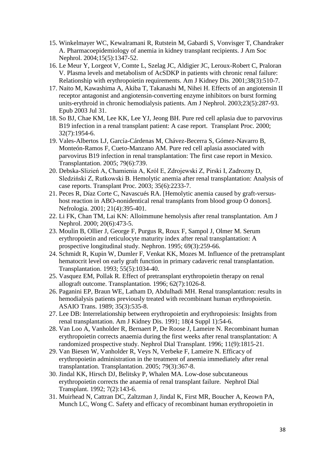- 15. [Winkelmayer WC,](http://www.ncbi.nlm.nih.gov/pubmed?term=%22Winkelmayer%20WC%22%5BAuthor%5D&itool=EntrezSystem2.PEntrez.Pubmed.Pubmed_ResultsPanel.Pubmed_RVAbstract) [Kewalramani R,](http://www.ncbi.nlm.nih.gov/pubmed?term=%22Kewalramani%20R%22%5BAuthor%5D&itool=EntrezSystem2.PEntrez.Pubmed.Pubmed_ResultsPanel.Pubmed_RVAbstract) [Rutstein M,](http://www.ncbi.nlm.nih.gov/pubmed?term=%22Rutstein%20M%22%5BAuthor%5D&itool=EntrezSystem2.PEntrez.Pubmed.Pubmed_ResultsPanel.Pubmed_RVAbstract) [Gabardi S,](http://www.ncbi.nlm.nih.gov/pubmed?term=%22Gabardi%20S%22%5BAuthor%5D&itool=EntrezSystem2.PEntrez.Pubmed.Pubmed_ResultsPanel.Pubmed_RVAbstract) [Vonvisger T,](http://www.ncbi.nlm.nih.gov/pubmed?term=%22Vonvisger%20T%22%5BAuthor%5D&itool=EntrezSystem2.PEntrez.Pubmed.Pubmed_ResultsPanel.Pubmed_RVAbstract) [Chandraker](http://www.ncbi.nlm.nih.gov/pubmed?term=%22Chandraker%20A%22%5BAuthor%5D&itool=EntrezSystem2.PEntrez.Pubmed.Pubmed_ResultsPanel.Pubmed_RVAbstract)  [A.](http://www.ncbi.nlm.nih.gov/pubmed?term=%22Chandraker%20A%22%5BAuthor%5D&itool=EntrezSystem2.PEntrez.Pubmed.Pubmed_ResultsPanel.Pubmed_RVAbstract) Pharmacoepidemiology of anemia in kidney transplant recipients. [J Am Soc](javascript:AL_get(this,%20)  [Nephrol.](javascript:AL_get(this,%20) 2004;15(5):1347-52.
- 16. [Le Meur Y,](http://www.ncbi.nlm.nih.gov/pubmed?term=%22Le%20Meur%20Y%22%5BAuthor%5D&itool=EntrezSystem2.PEntrez.Pubmed.Pubmed_ResultsPanel.Pubmed_RVAbstract) [Lorgeot V,](http://www.ncbi.nlm.nih.gov/pubmed?term=%22Lorgeot%20V%22%5BAuthor%5D&itool=EntrezSystem2.PEntrez.Pubmed.Pubmed_ResultsPanel.Pubmed_RVAbstract) [Comte L,](http://www.ncbi.nlm.nih.gov/pubmed?term=%22Comte%20L%22%5BAuthor%5D&itool=EntrezSystem2.PEntrez.Pubmed.Pubmed_ResultsPanel.Pubmed_RVAbstract) [Szelag JC,](http://www.ncbi.nlm.nih.gov/pubmed?term=%22Szelag%20JC%22%5BAuthor%5D&itool=EntrezSystem2.PEntrez.Pubmed.Pubmed_ResultsPanel.Pubmed_RVAbstract) [Aldigier JC,](http://www.ncbi.nlm.nih.gov/pubmed?term=%22Aldigier%20JC%22%5BAuthor%5D&itool=EntrezSystem2.PEntrez.Pubmed.Pubmed_ResultsPanel.Pubmed_RVAbstract) [Leroux-Robert C,](http://www.ncbi.nlm.nih.gov/pubmed?term=%22Leroux-Robert%20C%22%5BAuthor%5D&itool=EntrezSystem2.PEntrez.Pubmed.Pubmed_ResultsPanel.Pubmed_RVAbstract) [Praloran](http://www.ncbi.nlm.nih.gov/pubmed?term=%22Praloran%20V%22%5BAuthor%5D&itool=EntrezSystem2.PEntrez.Pubmed.Pubmed_ResultsPanel.Pubmed_RVAbstract)  [V.](http://www.ncbi.nlm.nih.gov/pubmed?term=%22Praloran%20V%22%5BAuthor%5D&itool=EntrezSystem2.PEntrez.Pubmed.Pubmed_ResultsPanel.Pubmed_RVAbstract) Plasma levels and metabolism of AcSDKP in patients with chronic renal failure: [Relationship with erythropoietin requirements. Am J Kidney Dis.](http://www.ncbi.nlm.nih.gov/entrez/query.fcgi?db=pubmed&cmd=Retrieve&dopt=Abstract&list_uids=15632351&query_hl=694&itool=pubmed_docsum) 2001;38(3):510-7.
- 17. [Naito M,](http://www.ncbi.nlm.nih.gov/entrez/query.fcgi?db=pubmed&cmd=Retrieve&dopt=Abstract&list_uids=15632351&query_hl=694&itool=pubmed_docsum) [Kawashima A,](http://www.ncbi.nlm.nih.gov/pubmed?term=%22Kawashima%20A%22%5BAuthor%5D&itool=EntrezSystem2.PEntrez.Pubmed.Pubmed_ResultsPanel.Pubmed_RVAbstract) [Akiba T,](http://www.ncbi.nlm.nih.gov/pubmed?term=%22Akiba%20T%22%5BAuthor%5D&itool=EntrezSystem2.PEntrez.Pubmed.Pubmed_ResultsPanel.Pubmed_RVAbstract) [Takanashi M,](http://www.ncbi.nlm.nih.gov/pubmed?term=%22Takanashi%20M%22%5BAuthor%5D&itool=EntrezSystem2.PEntrez.Pubmed.Pubmed_ResultsPanel.Pubmed_RVAbstract) [Nihei H.](http://www.ncbi.nlm.nih.gov/pubmed?term=%22Nihei%20H%22%5BAuthor%5D&itool=EntrezSystem2.PEntrez.Pubmed.Pubmed_ResultsPanel.Pubmed_RVAbstract) Effects of an angiotensin II [receptor antagonist and angiotensin-converting enzyme inhibitors on burst forming](http://www.ncbi.nlm.nih.gov/entrez/query.fcgi?db=pubmed&cmd=Retrieve&dopt=Abstract&list_uids=15632351&query_hl=694&itool=pubmed_docsum)  [units-erythroid in chronic hemodialysis patients. Am J Nephrol.](http://www.ncbi.nlm.nih.gov/entrez/query.fcgi?db=pubmed&cmd=Retrieve&dopt=Abstract&list_uids=15632351&query_hl=694&itool=pubmed_docsum) 2003;23(5):287-93. [Epub 2003 Jul 31.](http://www.ncbi.nlm.nih.gov/entrez/query.fcgi?db=pubmed&cmd=Retrieve&dopt=Abstract&list_uids=15632351&query_hl=694&itool=pubmed_docsum)
- 18. [So BJ,](http://www.ncbi.nlm.nih.gov/entrez/query.fcgi?db=pubmed&cmd=Retrieve&dopt=Abstract&list_uids=15632351&query_hl=694&itool=pubmed_docsum) [Chae KM,](http://www.ncbi.nlm.nih.gov/pubmed?term=%22Chae%20KM%22%5BAuthor%5D&itool=EntrezSystem2.PEntrez.Pubmed.Pubmed_ResultsPanel.Pubmed_RVAbstract) [Lee KK,](http://www.ncbi.nlm.nih.gov/pubmed?term=%22Lee%20KK%22%5BAuthor%5D&itool=EntrezSystem2.PEntrez.Pubmed.Pubmed_ResultsPanel.Pubmed_RVAbstract) [Lee YJ,](http://www.ncbi.nlm.nih.gov/pubmed?term=%22Lee%20YJ%22%5BAuthor%5D&itool=EntrezSystem2.PEntrez.Pubmed.Pubmed_ResultsPanel.Pubmed_RVAbstract) [Jeong BH.](http://www.ncbi.nlm.nih.gov/pubmed?term=%22Jeong%20BH%22%5BAuthor%5D&itool=EntrezSystem2.PEntrez.Pubmed.Pubmed_ResultsPanel.Pubmed_RVAbstract) Pure red cell aplasia due to parvovirus [B19 infection in a renal transplant patient: A case report. Transplant Proc.](http://www.ncbi.nlm.nih.gov/entrez/query.fcgi?db=pubmed&cmd=Retrieve&dopt=Abstract&list_uids=15632351&query_hl=694&itool=pubmed_docsum) 2000; [32\(7\):1954-6.](http://www.ncbi.nlm.nih.gov/entrez/query.fcgi?db=pubmed&cmd=Retrieve&dopt=Abstract&list_uids=15632351&query_hl=694&itool=pubmed_docsum)
- 19. [Vales-Albertos LJ,](http://www.ncbi.nlm.nih.gov/pubmed?term=%22Vales-Albertos%20LJ%22%5BAuthor%5D&itool=EntrezSystem2.PEntrez.Pubmed.Pubmed_ResultsPanel.Pubmed_RVAbstract) [García-Cárdenas M,](http://www.ncbi.nlm.nih.gov/pubmed?term=%22Garc%C3%ADa-C%C3%A1rdenas%20M%22%5BAuthor%5D&itool=EntrezSystem2.PEntrez.Pubmed.Pubmed_ResultsPanel.Pubmed_RVAbstract) [Chávez-Becerra S,](http://www.ncbi.nlm.nih.gov/pubmed?term=%22Ch%C3%A1vez-Becerra%20S%22%5BAuthor%5D&itool=EntrezSystem2.PEntrez.Pubmed.Pubmed_ResultsPanel.Pubmed_RVAbstract) [Gómez-Navarro B,](http://www.ncbi.nlm.nih.gov/pubmed?term=%22G%C3%B3mez-Navarro%20B%22%5BAuthor%5D&itool=EntrezSystem2.PEntrez.Pubmed.Pubmed_ResultsPanel.Pubmed_RVAbstract) [Monteón-Ramos F,](http://www.ncbi.nlm.nih.gov/pubmed?term=%22Monte%C3%B3n-Ramos%20F%22%5BAuthor%5D&itool=EntrezSystem2.PEntrez.Pubmed.Pubmed_ResultsPanel.Pubmed_RVAbstract) [Cueto-Manzano AM.](http://www.ncbi.nlm.nih.gov/pubmed?term=%22Cueto-Manzano%20AM%22%5BAuthor%5D&itool=EntrezSystem2.PEntrez.Pubmed.Pubmed_ResultsPanel.Pubmed_RVAbstract) Pure red cell aplasia associated with [parvovirus B19 infection in renal transplantation: The first case report in Mexico.](http://www.ncbi.nlm.nih.gov/entrez/query.fcgi?db=pubmed&cmd=Retrieve&dopt=Abstract&list_uids=11120017&query_hl=703&itool=pubmed_docsum)  [Transplantation.](http://www.ncbi.nlm.nih.gov/entrez/query.fcgi?db=pubmed&cmd=Retrieve&dopt=Abstract&list_uids=11120017&query_hl=703&itool=pubmed_docsum) 2005; 79(6):739.
- 20. [Debska-Slizień A, Chamienia A, Król E, Zdrojewski Z, Pirski I, Zadrozny D,](http://www.ncbi.nlm.nih.gov/entrez/query.fcgi?db=pubmed&cmd=Retrieve&dopt=Abstract&list_uids=15785387&query_hl=706&itool=pubmed_docsum)  Sledziński Z, Rutkowski B. [Hemolytic anemia after renal transplantation: Analysis of](http://www.ncbi.nlm.nih.gov/entrez/query.fcgi?db=pubmed&cmd=Retrieve&dopt=Abstract&list_uids=15785387&query_hl=706&itool=pubmed_docsum)  [case reports. Transplant Proc. 2003;](http://www.ncbi.nlm.nih.gov/entrez/query.fcgi?db=pubmed&cmd=Retrieve&dopt=Abstract&list_uids=15785387&query_hl=706&itool=pubmed_docsum) 35(6):2233-7.
- 21. [Peces R,](http://www.ncbi.nlm.nih.gov/entrez/query.fcgi?db=pubmed&cmd=Retrieve&dopt=Abstract&list_uids=15785387&query_hl=706&itool=pubmed_docsum) [Díaz Corte C,](http://www.ncbi.nlm.nih.gov/pubmed?term=%22D%C3%ADaz%20Corte%20C%22%5BAuthor%5D&itool=EntrezSystem2.PEntrez.Pubmed.Pubmed_ResultsPanel.Pubmed_RVAbstract) [Navascués RA.](http://www.ncbi.nlm.nih.gov/pubmed?term=%22Navascu%C3%A9s%20RA%22%5BAuthor%5D&itool=EntrezSystem2.PEntrez.Pubmed.Pubmed_ResultsPanel.Pubmed_RVAbstract) [Hemolytic anemia caused by graft-versus[host reaction in ABO-nonidentical renal transplants from blood group O donors\].](http://www.ncbi.nlm.nih.gov/entrez/query.fcgi?db=pubmed&cmd=Retrieve&dopt=Abstract&list_uids=15785387&query_hl=706&itool=pubmed_docsum)  [Nefrologia.](http://www.ncbi.nlm.nih.gov/entrez/query.fcgi?db=pubmed&cmd=Retrieve&dopt=Abstract&list_uids=15785387&query_hl=706&itool=pubmed_docsum) 2001; 21(4):395-401.
- 22. [Li FK, Chan TM, Lai KN: Alloimmune hemolysis after renal transplantation. Am J](http://www.ncbi.nlm.nih.gov/entrez/query.fcgi?db=pubmed&cmd=Retrieve&dopt=Abstract&list_uids=11816517&query_hl=731&itool=pubmed_docsum)  [Nephrol.](http://www.ncbi.nlm.nih.gov/entrez/query.fcgi?db=pubmed&cmd=Retrieve&dopt=Abstract&list_uids=11816517&query_hl=731&itool=pubmed_docsum) 2000; 20(6):473-5.
- 23. [Moulin B,](http://www.ncbi.nlm.nih.gov/pubmed?term=%22Moulin%20B%22%5BAuthor%5D&itool=EntrezSystem2.PEntrez.Pubmed.Pubmed_ResultsPanel.Pubmed_RVAbstract) [Ollier J,](http://www.ncbi.nlm.nih.gov/pubmed?term=%22Ollier%20J%22%5BAuthor%5D&itool=EntrezSystem2.PEntrez.Pubmed.Pubmed_ResultsPanel.Pubmed_RVAbstract) [George F,](http://www.ncbi.nlm.nih.gov/pubmed?term=%22George%20F%22%5BAuthor%5D&itool=EntrezSystem2.PEntrez.Pubmed.Pubmed_ResultsPanel.Pubmed_RVAbstract) [Purgus R,](http://www.ncbi.nlm.nih.gov/pubmed?term=%22Purgus%20R%22%5BAuthor%5D&itool=EntrezSystem2.PEntrez.Pubmed.Pubmed_ResultsPanel.Pubmed_RVAbstract) [Roux F,](http://www.ncbi.nlm.nih.gov/pubmed?term=%22Roux%20F%22%5BAuthor%5D&itool=EntrezSystem2.PEntrez.Pubmed.Pubmed_ResultsPanel.Pubmed_RVAbstract) [Sampol J,](http://www.ncbi.nlm.nih.gov/pubmed?term=%22Sampol%20J%22%5BAuthor%5D&itool=EntrezSystem2.PEntrez.Pubmed.Pubmed_ResultsPanel.Pubmed_RVAbstract) [Olmer M.](http://www.ncbi.nlm.nih.gov/pubmed?term=%22Olmer%20M%22%5BAuthor%5D&itool=EntrezSystem2.PEntrez.Pubmed.Pubmed_ResultsPanel.Pubmed_RVAbstract) Serum [erythropoietin and reticulocyte maturity index after renal transplantation: A](http://www.ncbi.nlm.nih.gov/entrez/query.fcgi?db=pubmed&cmd=Retrieve&dopt=Abstract&list_uids=11816517&query_hl=731&itool=pubmed_docsum)  [prospective longitudinal study. Nephron.](http://www.ncbi.nlm.nih.gov/entrez/query.fcgi?db=pubmed&cmd=Retrieve&dopt=Abstract&list_uids=11816517&query_hl=731&itool=pubmed_docsum) 1995; 69(3):259-66.
- 24. [Schmidt R, Kupin W, Dumler F, Venkat KK, Mozes M.](http://www.ncbi.nlm.nih.gov/entrez/query.fcgi?db=pubmed&cmd=Retrieve&dopt=Abstract&list_uids=11816517&query_hl=731&itool=pubmed_docsum) Influence of the pretransplant [hematocrit level on early graft function in primary cadaveric renal transplantation.](http://www.ncbi.nlm.nih.gov/entrez/query.fcgi?db=pubmed&cmd=Retrieve&dopt=Abstract&list_uids=11816517&query_hl=731&itool=pubmed_docsum)  [Transplantation. 1993;](http://www.ncbi.nlm.nih.gov/entrez/query.fcgi?db=pubmed&cmd=Retrieve&dopt=Abstract&list_uids=11816517&query_hl=731&itool=pubmed_docsum) 55(5):1034-40.
- 25. Vasquez EM, Pollak R. [Effect of pretransplant erythropoietin therapy on renal](http://www.ncbi.nlm.nih.gov/entrez/query.fcgi?db=pubmed&cmd=Retrieve&dopt=Abstract&list_uids=11816517&query_hl=731&itool=pubmed_docsum)  [allograft outcome. Transplantation. 1996;](http://www.ncbi.nlm.nih.gov/entrez/query.fcgi?db=pubmed&cmd=Retrieve&dopt=Abstract&list_uids=11816517&query_hl=731&itool=pubmed_docsum) 62(7):1026-8.
- 26. [Paganini EP,](http://www.ncbi.nlm.nih.gov/entrez/query.fcgi?db=pubmed&cmd=Retrieve&dopt=Abstract&list_uids=11816517&query_hl=731&itool=pubmed_docsum) [Braun WE,](http://www.ncbi.nlm.nih.gov/pubmed?term=%22Braun%20WE%22%5BAuthor%5D&itool=EntrezSystem2.PEntrez.Pubmed.Pubmed_ResultsPanel.Pubmed_RVAbstract) [Latham D,](http://www.ncbi.nlm.nih.gov/pubmed?term=%22Latham%20D%22%5BAuthor%5D&itool=EntrezSystem2.PEntrez.Pubmed.Pubmed_ResultsPanel.Pubmed_RVAbstract) [Abdulhadi MH.](http://www.ncbi.nlm.nih.gov/pubmed?term=%22Abdulhadi%20MH%22%5BAuthor%5D&itool=EntrezSystem2.PEntrez.Pubmed.Pubmed_ResultsPanel.Pubmed_RVAbstract) Renal transplantation: results in [hemodialysis patients previously treated with recombinant human erythropoietin.](http://www.ncbi.nlm.nih.gov/entrez/query.fcgi?db=pubmed&cmd=Retrieve&dopt=Abstract&list_uids=11816517&query_hl=731&itool=pubmed_docsum)  [ASAIO Trans.](http://www.ncbi.nlm.nih.gov/entrez/query.fcgi?db=pubmed&cmd=Retrieve&dopt=Abstract&list_uids=11816517&query_hl=731&itool=pubmed_docsum) 1989; 35(3):535-8.
- 27. [Lee DB: Interrelationship between erythropoietin and erythropoiesis: Insights from](http://www.ncbi.nlm.nih.gov/entrez/query.fcgi?db=pubmed&cmd=Retrieve&dopt=Abstract&list_uids=2688720&query_hl=740&itool=pubmed_docsum)  [renal transplantation. Am J Kidney Dis.](http://www.ncbi.nlm.nih.gov/entrez/query.fcgi?db=pubmed&cmd=Retrieve&dopt=Abstract&list_uids=2688720&query_hl=740&itool=pubmed_docsum) 1991; 18(4 Suppl 1):54-6.
- 28. [Van Loo A, Vanholder R, Bernaert P, De Roose J, Lameire N.](http://www.ncbi.nlm.nih.gov/entrez/query.fcgi?db=pubmed&cmd=Retrieve&dopt=Abstract&list_uids=2688720&query_hl=740&itool=pubmed_docsum) Recombinant human [erythropoietin corrects anaemia during the first weeks after renal transplantation: A](http://www.ncbi.nlm.nih.gov/entrez/query.fcgi?db=pubmed&cmd=Retrieve&dopt=Abstract&list_uids=2688720&query_hl=740&itool=pubmed_docsum)  [randomized prospective study. Nephrol Dial Transplant.](http://www.ncbi.nlm.nih.gov/entrez/query.fcgi?db=pubmed&cmd=Retrieve&dopt=Abstract&list_uids=2688720&query_hl=740&itool=pubmed_docsum) 1996; 11(9):1815-21.
- 29. [Van Biesen W, Vanholder R, Veys N, Verbeke F, Lameire N.](http://www.ncbi.nlm.nih.gov/entrez/query.fcgi?db=pubmed&cmd=Retrieve&dopt=Abstract&list_uids=2688720&query_hl=740&itool=pubmed_docsum) Efficacy of [erythropoietin administration in the treatment of anemia immediately after renal](http://www.ncbi.nlm.nih.gov/entrez/query.fcgi?db=pubmed&cmd=Retrieve&dopt=Abstract&list_uids=2688720&query_hl=740&itool=pubmed_docsum)  [transplantation. Transplantation.](http://www.ncbi.nlm.nih.gov/entrez/query.fcgi?db=pubmed&cmd=Retrieve&dopt=Abstract&list_uids=2688720&query_hl=740&itool=pubmed_docsum) 2005; 79(3):367-8.
- 30. [Jindal KK, Hirsch DJ, Belitsky P, Whalen MA.](http://www.ncbi.nlm.nih.gov/entrez/query.fcgi?db=pubmed&cmd=Retrieve&dopt=Abstract&list_uids=11816517&query_hl=731&itool=pubmed_docsum) Low-dose subcutaneous [erythropoietin corrects the anaemia of renal transplant failure. Nephrol Dial](http://www.ncbi.nlm.nih.gov/entrez/query.fcgi?db=pubmed&cmd=Retrieve&dopt=Abstract&list_uids=11816517&query_hl=731&itool=pubmed_docsum)  [Transplant.](http://www.ncbi.nlm.nih.gov/entrez/query.fcgi?db=pubmed&cmd=Retrieve&dopt=Abstract&list_uids=1314975&query_hl=753&itool=pubmed_docsum) 1992; 7(2):143-6.
- 31. [Muirhead N,](http://www.ncbi.nlm.nih.gov/pubmed?term=%22Muirhead%20N%22%5BAuthor%5D&itool=EntrezSystem2.PEntrez.Pubmed.Pubmed_ResultsPanel.Pubmed_RVAbstract) [Cattran DC,](http://www.ncbi.nlm.nih.gov/pubmed?term=%22Cattran%20DC%22%5BAuthor%5D&itool=EntrezSystem2.PEntrez.Pubmed.Pubmed_ResultsPanel.Pubmed_RVAbstract) [Zaltzman J,](http://www.ncbi.nlm.nih.gov/pubmed?term=%22Zaltzman%20J%22%5BAuthor%5D&itool=EntrezSystem2.PEntrez.Pubmed.Pubmed_ResultsPanel.Pubmed_RVAbstract) [Jindal K,](http://www.ncbi.nlm.nih.gov/pubmed?term=%22Jindal%20K%22%5BAuthor%5D&itool=EntrezSystem2.PEntrez.Pubmed.Pubmed_ResultsPanel.Pubmed_RVAbstract) [First MR,](http://www.ncbi.nlm.nih.gov/pubmed?term=%22First%20MR%22%5BAuthor%5D&itool=EntrezSystem2.PEntrez.Pubmed.Pubmed_ResultsPanel.Pubmed_RVAbstract) [Boucher A,](http://www.ncbi.nlm.nih.gov/pubmed?term=%22Boucher%20A%22%5BAuthor%5D&itool=EntrezSystem2.PEntrez.Pubmed.Pubmed_ResultsPanel.Pubmed_RVAbstract) [Keown PA,](http://www.ncbi.nlm.nih.gov/pubmed?term=%22Keown%20PA%22%5BAuthor%5D&itool=EntrezSystem2.PEntrez.Pubmed.Pubmed_ResultsPanel.Pubmed_RVAbstract) [Munch LC,](http://www.ncbi.nlm.nih.gov/pubmed?term=%22Munch%20LC%22%5BAuthor%5D&itool=EntrezSystem2.PEntrez.Pubmed.Pubmed_ResultsPanel.Pubmed_RVAbstract) [Wong C.](http://www.ncbi.nlm.nih.gov/pubmed?term=%22Wong%20C%22%5BAuthor%5D&itool=EntrezSystem2.PEntrez.Pubmed.Pubmed_ResultsPanel.Pubmed_RVAbstract) Safety and efficacy of recombinant human erythropoietin in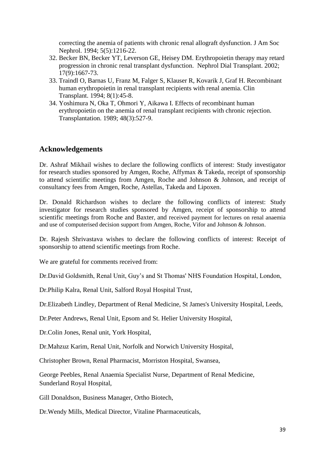[correcting the anemia of patients with chronic renal allograft dysfunction. J Am Soc](http://www.ncbi.nlm.nih.gov/entrez/query.fcgi?db=pubmed&cmd=Retrieve&dopt=Abstract&list_uids=1314975&query_hl=753&itool=pubmed_docsum)  [Nephrol.](http://www.ncbi.nlm.nih.gov/entrez/query.fcgi?db=pubmed&cmd=Retrieve&dopt=Abstract&list_uids=1314975&query_hl=753&itool=pubmed_docsum) 1994; 5(5):1216-22.

- 32. [Becker BN, Becker YT, Leverson GE, Heisey DM.](http://www.ncbi.nlm.nih.gov/entrez/query.fcgi?db=pubmed&cmd=Retrieve&dopt=Abstract&list_uids=1314975&query_hl=753&itool=pubmed_docsum) Erythropoietin therapy may retard [progression in chronic renal transplant dysfunction. Nephrol Dial Transplant.](http://www.ncbi.nlm.nih.gov/entrez/query.fcgi?db=pubmed&cmd=Retrieve&dopt=Abstract&list_uids=1314975&query_hl=753&itool=pubmed_docsum) 2002; [17\(9\):1667-73.](http://www.ncbi.nlm.nih.gov/entrez/query.fcgi?db=pubmed&cmd=Retrieve&dopt=Abstract&list_uids=12198221&query_hl=656&itool=pubmed_docsum)
- 33. [Traindl O,](http://www.ncbi.nlm.nih.gov/pubmed?term=%22Traindl%20O%22%5BAuthor%5D&itool=EntrezSystem2.PEntrez.Pubmed.Pubmed_ResultsPanel.Pubmed_RVAbstract) [Barnas U,](http://www.ncbi.nlm.nih.gov/pubmed?term=%22Barnas%20U%22%5BAuthor%5D&itool=EntrezSystem2.PEntrez.Pubmed.Pubmed_ResultsPanel.Pubmed_RVAbstract) [Franz M,](http://www.ncbi.nlm.nih.gov/pubmed?term=%22Franz%20M%22%5BAuthor%5D&itool=EntrezSystem2.PEntrez.Pubmed.Pubmed_ResultsPanel.Pubmed_RVAbstract) [Falger S,](http://www.ncbi.nlm.nih.gov/pubmed?term=%22Falger%20S%22%5BAuthor%5D&itool=EntrezSystem2.PEntrez.Pubmed.Pubmed_ResultsPanel.Pubmed_RVAbstract) [Klauser R,](http://www.ncbi.nlm.nih.gov/pubmed?term=%22Klauser%20R%22%5BAuthor%5D&itool=EntrezSystem2.PEntrez.Pubmed.Pubmed_ResultsPanel.Pubmed_RVAbstract) [Kovarik J,](http://www.ncbi.nlm.nih.gov/pubmed?term=%22Kovarik%20J%22%5BAuthor%5D&itool=EntrezSystem2.PEntrez.Pubmed.Pubmed_ResultsPanel.Pubmed_RVAbstract) [Graf H.](http://www.ncbi.nlm.nih.gov/pubmed?term=%22Graf%20H%22%5BAuthor%5D&itool=EntrezSystem2.PEntrez.Pubmed.Pubmed_ResultsPanel.Pubmed_RVAbstract) Recombinant [human erythropoietin in renal transplant recipients with renal anemia. Clin](http://www.ncbi.nlm.nih.gov/entrez/query.fcgi?db=pubmed&cmd=Retrieve&dopt=Abstract&list_uids=12198221&query_hl=656&itool=pubmed_docsum)  [Transplant.](http://www.ncbi.nlm.nih.gov/entrez/query.fcgi?db=pubmed&cmd=Retrieve&dopt=Abstract&list_uids=12198221&query_hl=656&itool=pubmed_docsum) 1994; 8(1):45-8.
- 34. [Yoshimura N, Oka T, Ohmori Y, Aikawa I.](http://www.ncbi.nlm.nih.gov/entrez/query.fcgi?db=pubmed&cmd=Retrieve&dopt=Abstract&list_uids=12198221&query_hl=656&itool=pubmed_docsum) Effects of recombinant human [erythropoietin on the anemia of renal transplant recipients with chronic rejection.](http://www.ncbi.nlm.nih.gov/entrez/query.fcgi?db=pubmed&cmd=Retrieve&dopt=Abstract&list_uids=12198221&query_hl=656&itool=pubmed_docsum)  [Transplantation.](javascript:AL_get(this,%20) 1989; 48(3):527-9.

## **[Acknowledgements](http://www.ncbi.nlm.nih.gov/entrez/query.fcgi?db=pubmed&cmd=Retrieve&dopt=Abstract&list_uids=1996580&query_hl=670&itool=pubmed_docsum)**

Dr. Ashraf Mikhail wishes to declare the following conflicts of interest: Study investigator for research studies sponsored by Amgen, Roche, Affymax & Takeda, receipt of sponsorship to attend scientific meetings from Amgen, Roche and Johnson & Johnson, and receipt of consultancy fees from Amgen, Roche, Astellas, Takeda and Lipoxen.

Dr. Donald Richardson wishes to declare the following conflicts of interest: Study investigator for research studies sponsored by Amgen, receipt of sponsorship to attend scientific meetings from Roche and Baxter, and received payment for lectures on renal anaemia and use of computerised decision support from Amgen, Roche, Vifor and Johnson & Johnson.

Dr. Rajesh Shrivastava wishes to declare the following conflicts of interest: Receipt of sponsorship to attend scientific meetings from Roche.

We are grateful for comments received from:

Dr.David Goldsmith, Renal Unit, Guy's and St Thomas' NHS Foundation Hospital, London,

Dr.Philip Kalra, Renal Unit, Salford Royal Hospital Trust,

Dr.Elizabeth Lindley, Department of Renal Medicine, St James's University Hospital, Leeds,

Dr.Peter Andrews, Renal Unit, Epsom and St. Helier University Hospital,

Dr.Colin Jones, Renal unit, York Hospital,

Dr.Mahzuz Karim, Renal Unit, Norfolk and Norwich University Hospital,

Christopher Brown, Renal Pharmacist, Morriston Hospital, Swansea,

George Peebles, Renal Anaemia Specialist Nurse, Department of Renal Medicine, Sunderland Royal Hospital,

Gill Donaldson, Business Manager, Ortho Biotech,

Dr.Wendy Mills, Medical Director, Vitaline Pharmaceuticals,